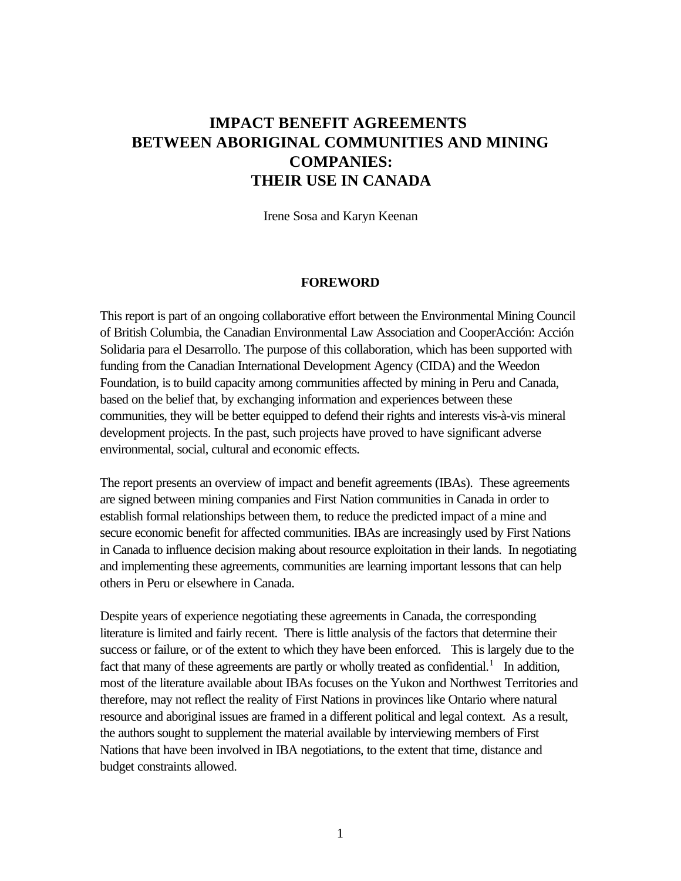# **IMPACT BENEFIT AGREEMENTS BETWEEN ABORIGINAL COMMUNITIES AND MINING COMPANIES: THEIR USE IN CANADA**

Irene Sosa and Karyn Keenan

#### **FOREWORD**

This report is part of an ongoing collaborative effort between the Environmental Mining Council of British Columbia, the Canadian Environmental Law Association and CooperAcción: Acción Solidaria para el Desarrollo. The purpose of this collaboration, which has been supported with funding from the Canadian International Development Agency (CIDA) and the Weedon Foundation, is to build capacity among communities affected by mining in Peru and Canada, based on the belief that, by exchanging information and experiences between these communities, they will be better equipped to defend their rights and interests vis-à-vis mineral development projects. In the past, such projects have proved to have significant adverse environmental, social, cultural and economic effects.

The report presents an overview of impact and benefit agreements (IBAs). These agreements are signed between mining companies and First Nation communities in Canada in order to establish formal relationships between them, to reduce the predicted impact of a mine and secure economic benefit for affected communities. IBAs are increasingly used by First Nations in Canada to influence decision making about resource exploitation in their lands. In negotiating and implementing these agreements, communities are learning important lessons that can help others in Peru or elsewhere in Canada.

Despite years of experience negotiating these agreements in Canada, the corresponding literature is limited and fairly recent. There is little analysis of the factors that determine their success or failure, or of the extent to which they have been enforced. This is largely due to the fact that many of these agreements are partly or wholly treated as confidential.<sup>1</sup> In addition, most of the literature available about IBAs focuses on the Yukon and Northwest Territories and therefore, may not reflect the reality of First Nations in provinces like Ontario where natural resource and aboriginal issues are framed in a different political and legal context. As a result, the authors sought to supplement the material available by interviewing members of First Nations that have been involved in IBA negotiations, to the extent that time, distance and budget constraints allowed.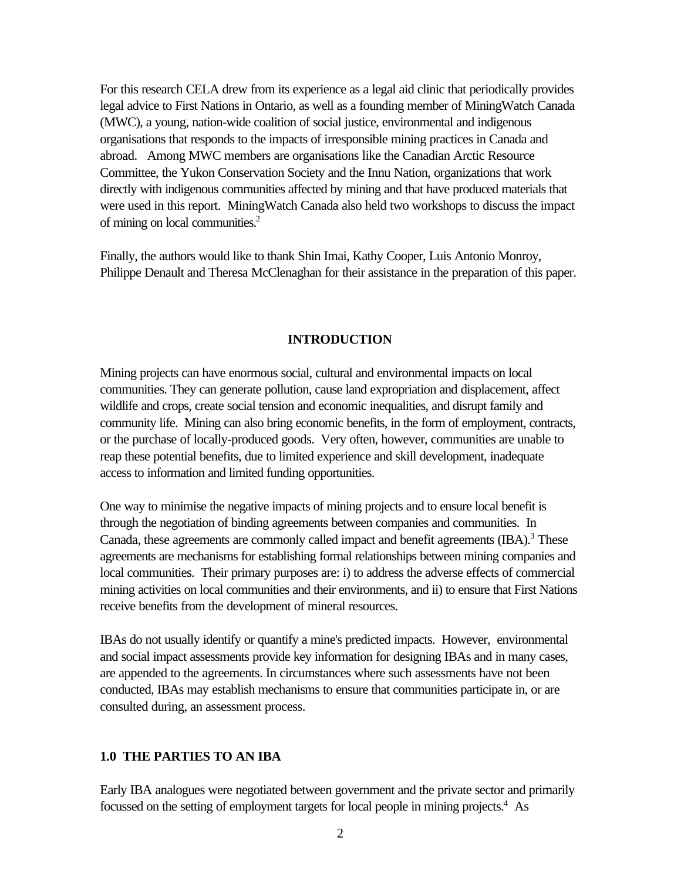For this research CELA drew from its experience as a legal aid clinic that periodically provides legal advice to First Nations in Ontario, as well as a founding member of MiningWatch Canada (MWC), a young, nation-wide coalition of social justice, environmental and indigenous organisations that responds to the impacts of irresponsible mining practices in Canada and abroad. Among MWC members are organisations like the Canadian Arctic Resource Committee, the Yukon Conservation Society and the Innu Nation, organizations that work directly with indigenous communities affected by mining and that have produced materials that were used in this report. MiningWatch Canada also held two workshops to discuss the impact of mining on local communities.<sup>2</sup>

Finally, the authors would like to thank Shin Imai, Kathy Cooper, Luis Antonio Monroy, Philippe Denault and Theresa McClenaghan for their assistance in the preparation of this paper.

#### **INTRODUCTION**

Mining projects can have enormous social, cultural and environmental impacts on local communities. They can generate pollution, cause land expropriation and displacement, affect wildlife and crops, create social tension and economic inequalities, and disrupt family and community life. Mining can also bring economic benefits, in the form of employment, contracts, or the purchase of locally-produced goods. Very often, however, communities are unable to reap these potential benefits, due to limited experience and skill development, inadequate access to information and limited funding opportunities.

One way to minimise the negative impacts of mining projects and to ensure local benefit is through the negotiation of binding agreements between companies and communities. In Canada, these agreements are commonly called impact and benefit agreements (IBA).<sup>3</sup> These agreements are mechanisms for establishing formal relationships between mining companies and local communities. Their primary purposes are: i) to address the adverse effects of commercial mining activities on local communities and their environments, and ii) to ensure that First Nations receive benefits from the development of mineral resources.

IBAs do not usually identify or quantify a mine's predicted impacts. However, environmental and social impact assessments provide key information for designing IBAs and in many cases, are appended to the agreements. In circumstances where such assessments have not been conducted, IBAs may establish mechanisms to ensure that communities participate in, or are consulted during, an assessment process.

#### **1.0 THE PARTIES TO AN IBA**

Early IBA analogues were negotiated between government and the private sector and primarily focussed on the setting of employment targets for local people in mining projects.<sup>4</sup> As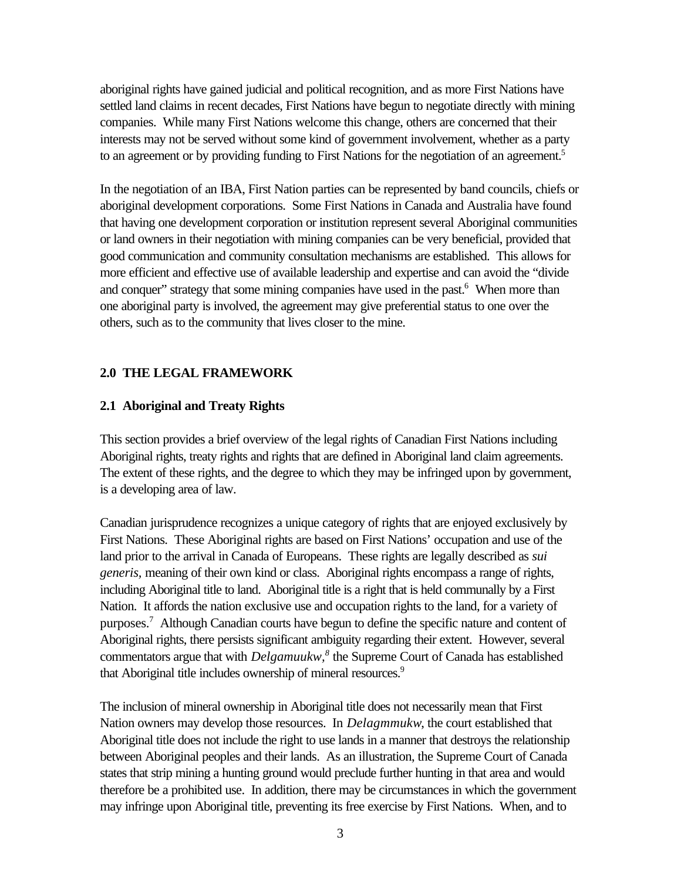aboriginal rights have gained judicial and political recognition, and as more First Nations have settled land claims in recent decades, First Nations have begun to negotiate directly with mining companies. While many First Nations welcome this change, others are concerned that their interests may not be served without some kind of government involvement, whether as a party to an agreement or by providing funding to First Nations for the negotiation of an agreement.<sup>5</sup>

In the negotiation of an IBA, First Nation parties can be represented by band councils, chiefs or aboriginal development corporations. Some First Nations in Canada and Australia have found that having one development corporation or institution represent several Aboriginal communities or land owners in their negotiation with mining companies can be very beneficial, provided that good communication and community consultation mechanisms are established. This allows for more efficient and effective use of available leadership and expertise and can avoid the "divide and conquer" strategy that some mining companies have used in the past.<sup>6</sup> When more than one aboriginal party is involved, the agreement may give preferential status to one over the others, such as to the community that lives closer to the mine.

# **2.0 THE LEGAL FRAMEWORK**

# **2.1 Aboriginal and Treaty Rights**

This section provides a brief overview of the legal rights of Canadian First Nations including Aboriginal rights, treaty rights and rights that are defined in Aboriginal land claim agreements. The extent of these rights, and the degree to which they may be infringed upon by government, is a developing area of law.

Canadian jurisprudence recognizes a unique category of rights that are enjoyed exclusively by First Nations. These Aboriginal rights are based on First Nations' occupation and use of the land prior to the arrival in Canada of Europeans. These rights are legally described as *sui generis,* meaning of their own kind or class. Aboriginal rights encompass a range of rights, including Aboriginal title to land. Aboriginal title is a right that is held communally by a First Nation. It affords the nation exclusive use and occupation rights to the land, for a variety of purposes.<sup>7</sup> Although Canadian courts have begun to define the specific nature and content of Aboriginal rights, there persists significant ambiguity regarding their extent. However, several commentators argue that with *Delgamuukw,<sup>8</sup>* the Supreme Court of Canada has established that Aboriginal title includes ownership of mineral resources.<sup>9</sup>

The inclusion of mineral ownership in Aboriginal title does not necessarily mean that First Nation owners may develop those resources. In *Delagmmukw*, the court established that Aboriginal title does not include the right to use lands in a manner that destroys the relationship between Aboriginal peoples and their lands. As an illustration, the Supreme Court of Canada states that strip mining a hunting ground would preclude further hunting in that area and would therefore be a prohibited use. In addition, there may be circumstances in which the government may infringe upon Aboriginal title, preventing its free exercise by First Nations. When, and to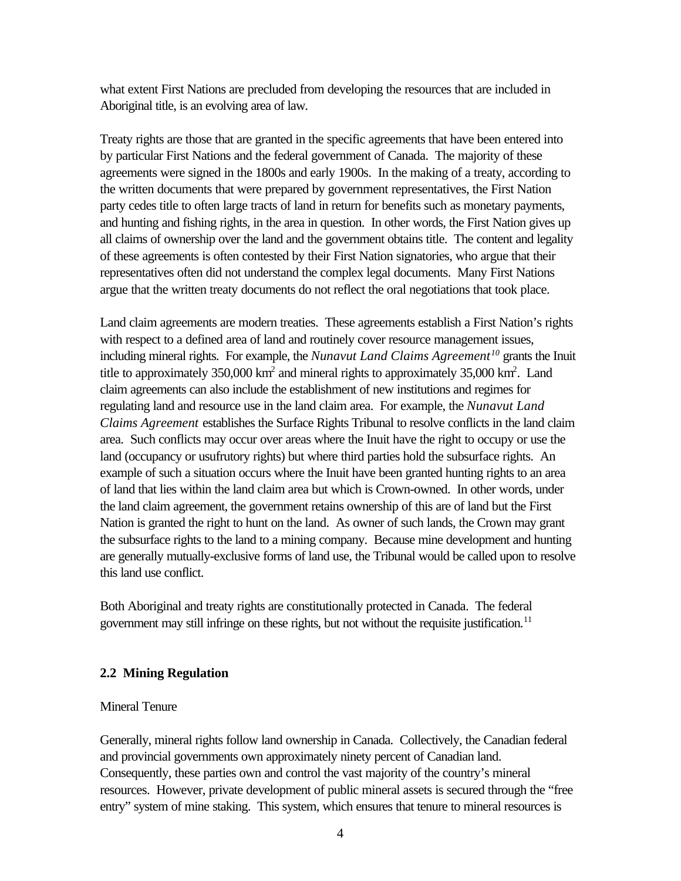what extent First Nations are precluded from developing the resources that are included in Aboriginal title, is an evolving area of law.

Treaty rights are those that are granted in the specific agreements that have been entered into by particular First Nations and the federal government of Canada. The majority of these agreements were signed in the 1800s and early 1900s. In the making of a treaty, according to the written documents that were prepared by government representatives, the First Nation party cedes title to often large tracts of land in return for benefits such as monetary payments, and hunting and fishing rights, in the area in question. In other words, the First Nation gives up all claims of ownership over the land and the government obtains title. The content and legality of these agreements is often contested by their First Nation signatories, who argue that their representatives often did not understand the complex legal documents. Many First Nations argue that the written treaty documents do not reflect the oral negotiations that took place.

Land claim agreements are modern treaties. These agreements establish a First Nation's rights with respect to a defined area of land and routinely cover resource management issues, including mineral rights. For example, the *Nunavut Land Claims Agreement<sup>10</sup>* grants the Inuit title to approximately  $350,000$  km<sup>2</sup> and mineral rights to approximately  $35,000$  km<sup>2</sup>. Land claim agreements can also include the establishment of new institutions and regimes for regulating land and resource use in the land claim area. For example, the *Nunavut Land Claims Agreement* establishes the Surface Rights Tribunal to resolve conflicts in the land claim area. Such conflicts may occur over areas where the Inuit have the right to occupy or use the land (occupancy or usufrutory rights) but where third parties hold the subsurface rights. An example of such a situation occurs where the Inuit have been granted hunting rights to an area of land that lies within the land claim area but which is Crown-owned. In other words, under the land claim agreement, the government retains ownership of this are of land but the First Nation is granted the right to hunt on the land. As owner of such lands, the Crown may grant the subsurface rights to the land to a mining company. Because mine development and hunting are generally mutually-exclusive forms of land use, the Tribunal would be called upon to resolve this land use conflict.

Both Aboriginal and treaty rights are constitutionally protected in Canada. The federal government may still infringe on these rights, but not without the requisite justification.<sup>11</sup>

### **2.2 Mining Regulation**

### Mineral Tenure

Generally, mineral rights follow land ownership in Canada. Collectively, the Canadian federal and provincial governments own approximately ninety percent of Canadian land. Consequently, these parties own and control the vast majority of the country's mineral resources. However, private development of public mineral assets is secured through the "free entry" system of mine staking. This system, which ensures that tenure to mineral resources is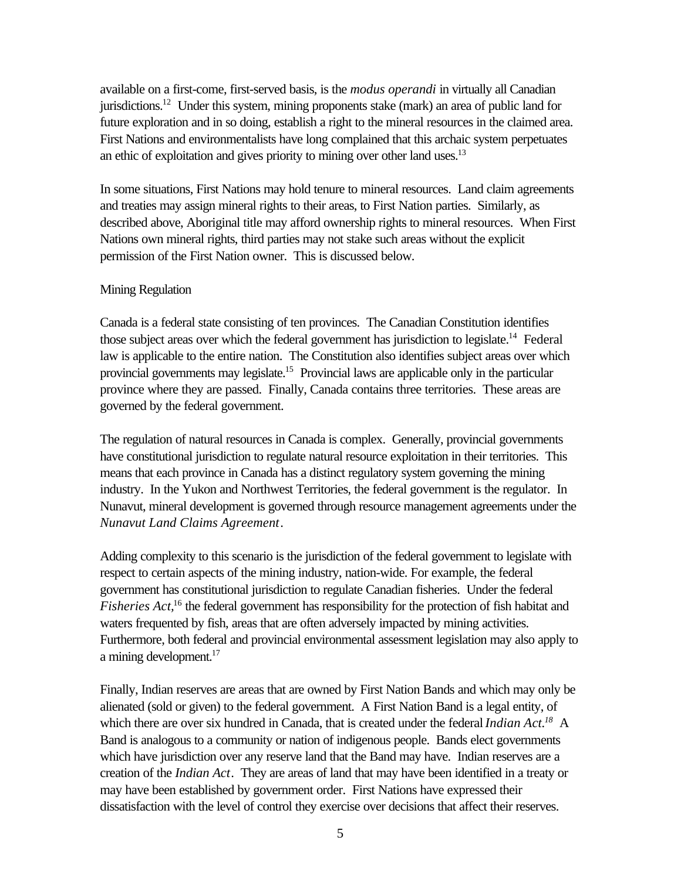available on a first-come, first-served basis, is the *modus operandi* in virtually all Canadian jurisdictions.<sup>12</sup> Under this system, mining proponents stake (mark) an area of public land for future exploration and in so doing, establish a right to the mineral resources in the claimed area. First Nations and environmentalists have long complained that this archaic system perpetuates an ethic of exploitation and gives priority to mining over other land uses. $13$ 

In some situations, First Nations may hold tenure to mineral resources. Land claim agreements and treaties may assign mineral rights to their areas, to First Nation parties. Similarly, as described above, Aboriginal title may afford ownership rights to mineral resources. When First Nations own mineral rights, third parties may not stake such areas without the explicit permission of the First Nation owner. This is discussed below.

### Mining Regulation

Canada is a federal state consisting of ten provinces. The Canadian Constitution identifies those subject areas over which the federal government has jurisdiction to legislate.<sup>14</sup> Federal law is applicable to the entire nation. The Constitution also identifies subject areas over which provincial governments may legislate.<sup>15</sup> Provincial laws are applicable only in the particular province where they are passed. Finally, Canada contains three territories. These areas are governed by the federal government.

The regulation of natural resources in Canada is complex. Generally, provincial governments have constitutional jurisdiction to regulate natural resource exploitation in their territories. This means that each province in Canada has a distinct regulatory system governing the mining industry. In the Yukon and Northwest Territories, the federal government is the regulator. In Nunavut, mineral development is governed through resource management agreements under the *Nunavut Land Claims Agreement*.

Adding complexity to this scenario is the jurisdiction of the federal government to legislate with respect to certain aspects of the mining industry, nation-wide. For example, the federal government has constitutional jurisdiction to regulate Canadian fisheries. Under the federal *Fisheries Act,*<sup>16</sup> the federal government has responsibility for the protection of fish habitat and waters frequented by fish, areas that are often adversely impacted by mining activities. Furthermore, both federal and provincial environmental assessment legislation may also apply to a mining development.<sup>17</sup>

Finally, Indian reserves are areas that are owned by First Nation Bands and which may only be alienated (sold or given) to the federal government. A First Nation Band is a legal entity, of which there are over six hundred in Canada, that is created under the federal *Indian Act.<sup>18</sup>* A Band is analogous to a community or nation of indigenous people. Bands elect governments which have jurisdiction over any reserve land that the Band may have. Indian reserves are a creation of the *Indian Act*. They are areas of land that may have been identified in a treaty or may have been established by government order. First Nations have expressed their dissatisfaction with the level of control they exercise over decisions that affect their reserves.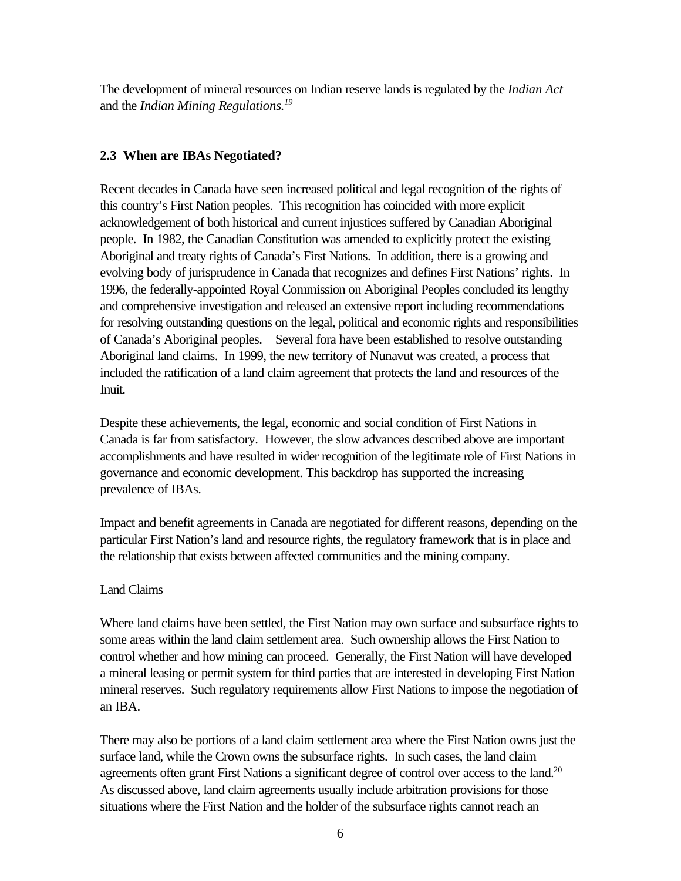The development of mineral resources on Indian reserve lands is regulated by the *Indian Act* and the *Indian Mining Regulations.<sup>19</sup>*

# **2.3 When are IBAs Negotiated?**

Recent decades in Canada have seen increased political and legal recognition of the rights of this country's First Nation peoples. This recognition has coincided with more explicit acknowledgement of both historical and current injustices suffered by Canadian Aboriginal people. In 1982, the Canadian Constitution was amended to explicitly protect the existing Aboriginal and treaty rights of Canada's First Nations. In addition, there is a growing and evolving body of jurisprudence in Canada that recognizes and defines First Nations' rights. In 1996, the federally-appointed Royal Commission on Aboriginal Peoples concluded its lengthy and comprehensive investigation and released an extensive report including recommendations for resolving outstanding questions on the legal, political and economic rights and responsibilities of Canada's Aboriginal peoples. Several fora have been established to resolve outstanding Aboriginal land claims. In 1999, the new territory of Nunavut was created, a process that included the ratification of a land claim agreement that protects the land and resources of the Inuit.

Despite these achievements, the legal, economic and social condition of First Nations in Canada is far from satisfactory. However, the slow advances described above are important accomplishments and have resulted in wider recognition of the legitimate role of First Nations in governance and economic development. This backdrop has supported the increasing prevalence of IBAs.

Impact and benefit agreements in Canada are negotiated for different reasons, depending on the particular First Nation's land and resource rights, the regulatory framework that is in place and the relationship that exists between affected communities and the mining company.

### Land Claims

Where land claims have been settled, the First Nation may own surface and subsurface rights to some areas within the land claim settlement area. Such ownership allows the First Nation to control whether and how mining can proceed. Generally, the First Nation will have developed a mineral leasing or permit system for third parties that are interested in developing First Nation mineral reserves. Such regulatory requirements allow First Nations to impose the negotiation of an IBA.

There may also be portions of a land claim settlement area where the First Nation owns just the surface land, while the Crown owns the subsurface rights. In such cases, the land claim agreements often grant First Nations a significant degree of control over access to the land.<sup>20</sup> As discussed above, land claim agreements usually include arbitration provisions for those situations where the First Nation and the holder of the subsurface rights cannot reach an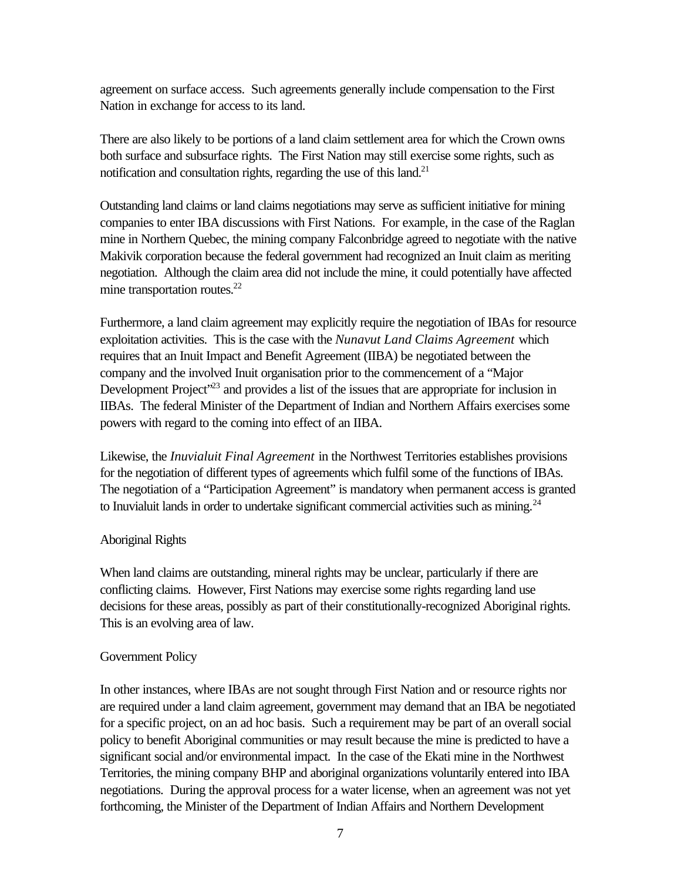agreement on surface access. Such agreements generally include compensation to the First Nation in exchange for access to its land.

There are also likely to be portions of a land claim settlement area for which the Crown owns both surface and subsurface rights. The First Nation may still exercise some rights, such as notification and consultation rights, regarding the use of this land. $21$ 

Outstanding land claims or land claims negotiations may serve as sufficient initiative for mining companies to enter IBA discussions with First Nations. For example, in the case of the Raglan mine in Northern Quebec, the mining company Falconbridge agreed to negotiate with the native Makivik corporation because the federal government had recognized an Inuit claim as meriting negotiation. Although the claim area did not include the mine, it could potentially have affected mine transportation routes.<sup>22</sup>

Furthermore, a land claim agreement may explicitly require the negotiation of IBAs for resource exploitation activities. This is the case with the *Nunavut Land Claims Agreement* which requires that an Inuit Impact and Benefit Agreement (IIBA) be negotiated between the company and the involved Inuit organisation prior to the commencement of a "Major Development Project<sup>323</sup> and provides a list of the issues that are appropriate for inclusion in IIBAs. The federal Minister of the Department of Indian and Northern Affairs exercises some powers with regard to the coming into effect of an IIBA.

Likewise, the *Inuvialuit Final Agreement* in the Northwest Territories establishes provisions for the negotiation of different types of agreements which fulfil some of the functions of IBAs. The negotiation of a "Participation Agreement" is mandatory when permanent access is granted to Inuvialuit lands in order to undertake significant commercial activities such as mining.<sup>24</sup>

### Aboriginal Rights

When land claims are outstanding, mineral rights may be unclear, particularly if there are conflicting claims. However, First Nations may exercise some rights regarding land use decisions for these areas, possibly as part of their constitutionally-recognized Aboriginal rights. This is an evolving area of law.

### Government Policy

In other instances, where IBAs are not sought through First Nation and or resource rights nor are required under a land claim agreement, government may demand that an IBA be negotiated for a specific project, on an ad hoc basis. Such a requirement may be part of an overall social policy to benefit Aboriginal communities or may result because the mine is predicted to have a significant social and/or environmental impact. In the case of the Ekati mine in the Northwest Territories, the mining company BHP and aboriginal organizations voluntarily entered into IBA negotiations. During the approval process for a water license, when an agreement was not yet forthcoming, the Minister of the Department of Indian Affairs and Northern Development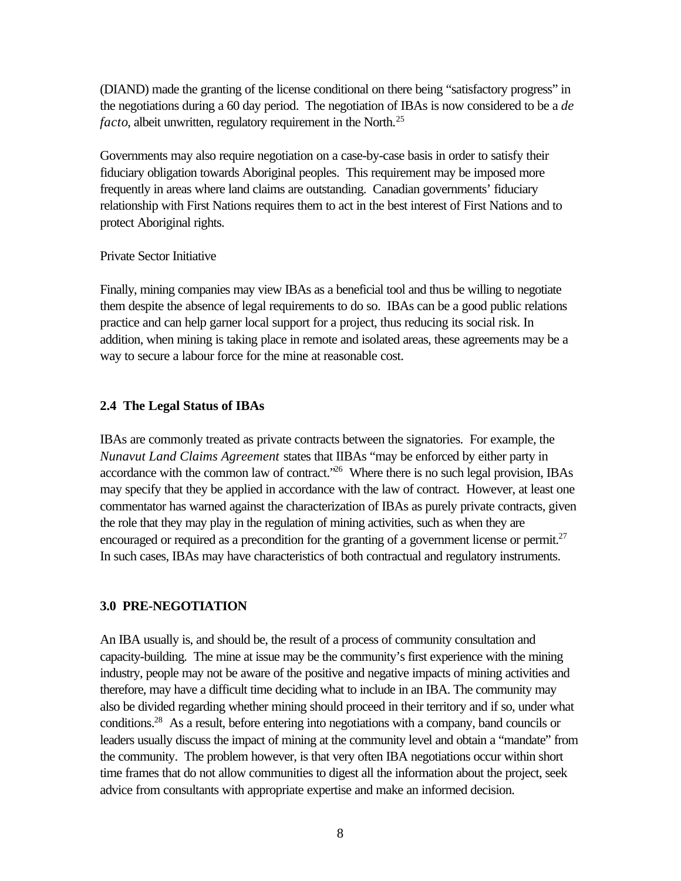(DIAND) made the granting of the license conditional on there being "satisfactory progress" in the negotiations during a 60 day period. The negotiation of IBAs is now considered to be a *de facto*, albeit unwritten, regulatory requirement in the North.<sup>25</sup>

Governments may also require negotiation on a case-by-case basis in order to satisfy their fiduciary obligation towards Aboriginal peoples. This requirement may be imposed more frequently in areas where land claims are outstanding. Canadian governments' fiduciary relationship with First Nations requires them to act in the best interest of First Nations and to protect Aboriginal rights.

### Private Sector Initiative

Finally, mining companies may view IBAs as a beneficial tool and thus be willing to negotiate them despite the absence of legal requirements to do so. IBAs can be a good public relations practice and can help garner local support for a project, thus reducing its social risk. In addition, when mining is taking place in remote and isolated areas, these agreements may be a way to secure a labour force for the mine at reasonable cost.

# **2.4 The Legal Status of IBAs**

IBAs are commonly treated as private contracts between the signatories. For example, the *Nunavut Land Claims Agreement* states that IIBAs "may be enforced by either party in accordance with the common law of contract.<sup> $26$ </sup> Where there is no such legal provision, IBAs may specify that they be applied in accordance with the law of contract. However, at least one commentator has warned against the characterization of IBAs as purely private contracts, given the role that they may play in the regulation of mining activities, such as when they are encouraged or required as a precondition for the granting of a government license or permit.<sup>27</sup> In such cases, IBAs may have characteristics of both contractual and regulatory instruments.

# **3.0 PRE-NEGOTIATION**

An IBA usually is, and should be, the result of a process of community consultation and capacity-building. The mine at issue may be the community's first experience with the mining industry, people may not be aware of the positive and negative impacts of mining activities and therefore, may have a difficult time deciding what to include in an IBA. The community may also be divided regarding whether mining should proceed in their territory and if so, under what conditions.<sup>28</sup> As a result, before entering into negotiations with a company, band councils or leaders usually discuss the impact of mining at the community level and obtain a "mandate" from the community. The problem however, is that very often IBA negotiations occur within short time frames that do not allow communities to digest all the information about the project, seek advice from consultants with appropriate expertise and make an informed decision.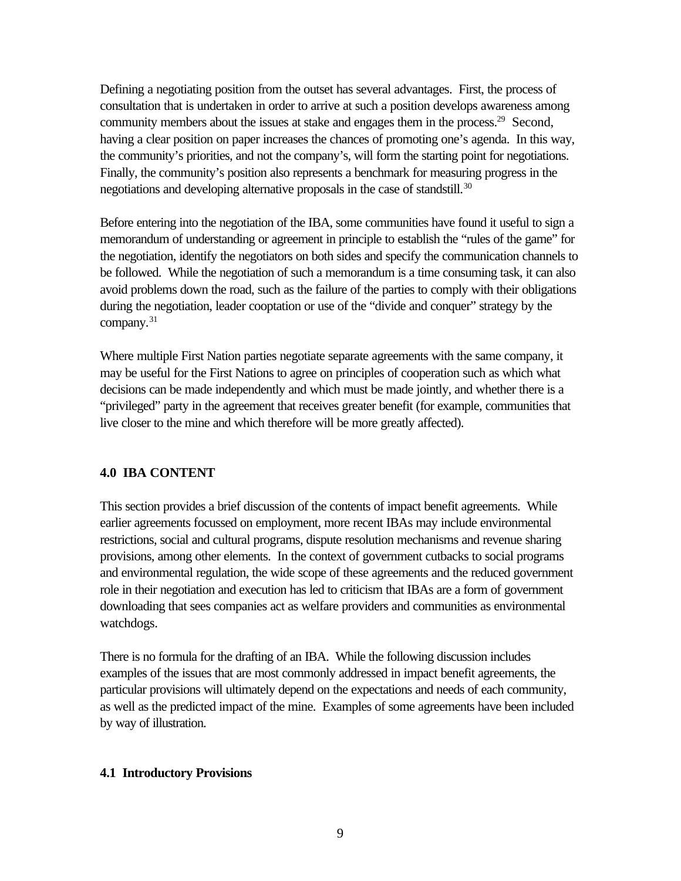Defining a negotiating position from the outset has several advantages. First, the process of consultation that is undertaken in order to arrive at such a position develops awareness among community members about the issues at stake and engages them in the process.<sup>29</sup> Second, having a clear position on paper increases the chances of promoting one's agenda. In this way, the community's priorities, and not the company's, will form the starting point for negotiations. Finally, the community's position also represents a benchmark for measuring progress in the negotiations and developing alternative proposals in the case of standstill.<sup>30</sup>

Before entering into the negotiation of the IBA, some communities have found it useful to sign a memorandum of understanding or agreement in principle to establish the "rules of the game" for the negotiation, identify the negotiators on both sides and specify the communication channels to be followed. While the negotiation of such a memorandum is a time consuming task, it can also avoid problems down the road, such as the failure of the parties to comply with their obligations during the negotiation, leader cooptation or use of the "divide and conquer" strategy by the company.<sup>31</sup>

Where multiple First Nation parties negotiate separate agreements with the same company, it may be useful for the First Nations to agree on principles of cooperation such as which what decisions can be made independently and which must be made jointly, and whether there is a "privileged" party in the agreement that receives greater benefit (for example, communities that live closer to the mine and which therefore will be more greatly affected).

### **4.0 IBA CONTENT**

This section provides a brief discussion of the contents of impact benefit agreements. While earlier agreements focussed on employment, more recent IBAs may include environmental restrictions, social and cultural programs, dispute resolution mechanisms and revenue sharing provisions, among other elements. In the context of government cutbacks to social programs and environmental regulation, the wide scope of these agreements and the reduced government role in their negotiation and execution has led to criticism that IBAs are a form of government downloading that sees companies act as welfare providers and communities as environmental watchdogs.

There is no formula for the drafting of an IBA. While the following discussion includes examples of the issues that are most commonly addressed in impact benefit agreements, the particular provisions will ultimately depend on the expectations and needs of each community, as well as the predicted impact of the mine. Examples of some agreements have been included by way of illustration.

#### **4.1 Introductory Provisions**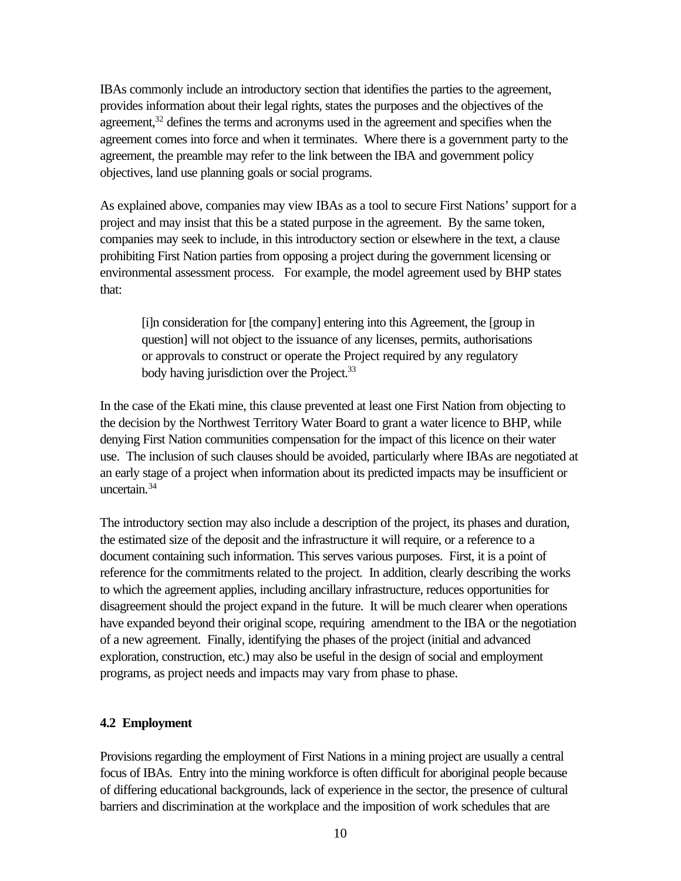IBAs commonly include an introductory section that identifies the parties to the agreement, provides information about their legal rights, states the purposes and the objectives of the agreement,<sup>32</sup> defines the terms and acronyms used in the agreement and specifies when the agreement comes into force and when it terminates. Where there is a government party to the agreement, the preamble may refer to the link between the IBA and government policy objectives, land use planning goals or social programs.

As explained above, companies may view IBAs as a tool to secure First Nations' support for a project and may insist that this be a stated purpose in the agreement. By the same token, companies may seek to include, in this introductory section or elsewhere in the text, a clause prohibiting First Nation parties from opposing a project during the government licensing or environmental assessment process. For example, the model agreement used by BHP states that:

[i]n consideration for [the company] entering into this Agreement, the [group in question] will not object to the issuance of any licenses, permits, authorisations or approvals to construct or operate the Project required by any regulatory body having jurisdiction over the Project.<sup>33</sup>

In the case of the Ekati mine, this clause prevented at least one First Nation from objecting to the decision by the Northwest Territory Water Board to grant a water licence to BHP, while denying First Nation communities compensation for the impact of this licence on their water use. The inclusion of such clauses should be avoided, particularly where IBAs are negotiated at an early stage of a project when information about its predicted impacts may be insufficient or uncertain.<sup>34</sup>

The introductory section may also include a description of the project, its phases and duration, the estimated size of the deposit and the infrastructure it will require, or a reference to a document containing such information. This serves various purposes. First, it is a point of reference for the commitments related to the project. In addition, clearly describing the works to which the agreement applies, including ancillary infrastructure, reduces opportunities for disagreement should the project expand in the future. It will be much clearer when operations have expanded beyond their original scope, requiring amendment to the IBA or the negotiation of a new agreement. Finally, identifying the phases of the project (initial and advanced exploration, construction, etc.) may also be useful in the design of social and employment programs, as project needs and impacts may vary from phase to phase.

### **4.2 Employment**

Provisions regarding the employment of First Nations in a mining project are usually a central focus of IBAs. Entry into the mining workforce is often difficult for aboriginal people because of differing educational backgrounds, lack of experience in the sector, the presence of cultural barriers and discrimination at the workplace and the imposition of work schedules that are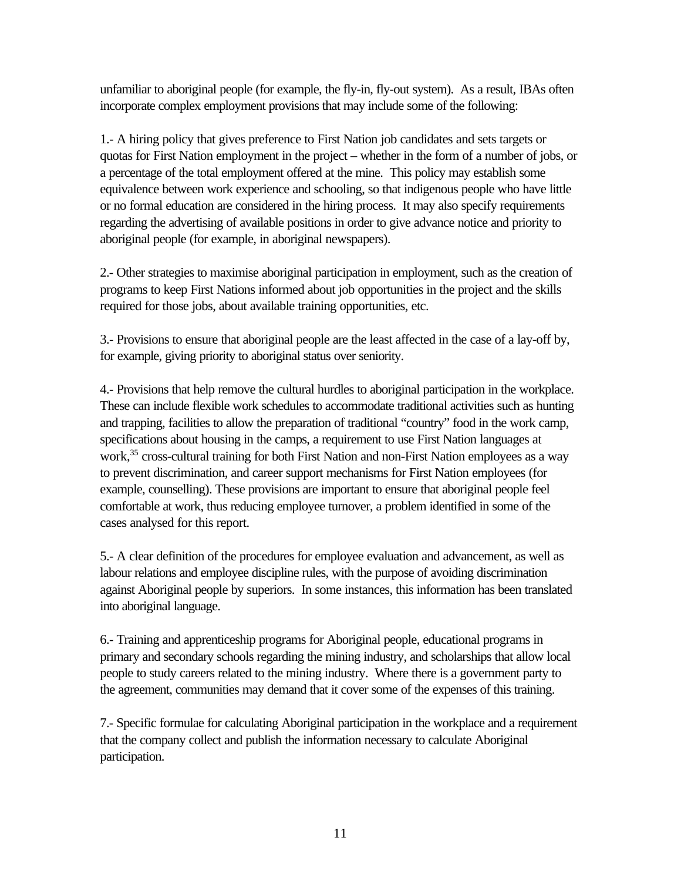unfamiliar to aboriginal people (for example, the fly-in, fly-out system). As a result, IBAs often incorporate complex employment provisions that may include some of the following:

1.- A hiring policy that gives preference to First Nation job candidates and sets targets or quotas for First Nation employment in the project – whether in the form of a number of jobs, or a percentage of the total employment offered at the mine. This policy may establish some equivalence between work experience and schooling, so that indigenous people who have little or no formal education are considered in the hiring process. It may also specify requirements regarding the advertising of available positions in order to give advance notice and priority to aboriginal people (for example, in aboriginal newspapers).

2.- Other strategies to maximise aboriginal participation in employment, such as the creation of programs to keep First Nations informed about job opportunities in the project and the skills required for those jobs, about available training opportunities, etc.

3.- Provisions to ensure that aboriginal people are the least affected in the case of a lay-off by, for example, giving priority to aboriginal status over seniority.

4.- Provisions that help remove the cultural hurdles to aboriginal participation in the workplace. These can include flexible work schedules to accommodate traditional activities such as hunting and trapping, facilities to allow the preparation of traditional "country" food in the work camp, specifications about housing in the camps, a requirement to use First Nation languages at work,<sup>35</sup> cross-cultural training for both First Nation and non-First Nation employees as a way to prevent discrimination, and career support mechanisms for First Nation employees (for example, counselling). These provisions are important to ensure that aboriginal people feel comfortable at work, thus reducing employee turnover, a problem identified in some of the cases analysed for this report.

5.- A clear definition of the procedures for employee evaluation and advancement, as well as labour relations and employee discipline rules, with the purpose of avoiding discrimination against Aboriginal people by superiors. In some instances, this information has been translated into aboriginal language.

6.- Training and apprenticeship programs for Aboriginal people, educational programs in primary and secondary schools regarding the mining industry, and scholarships that allow local people to study careers related to the mining industry. Where there is a government party to the agreement, communities may demand that it cover some of the expenses of this training.

7.- Specific formulae for calculating Aboriginal participation in the workplace and a requirement that the company collect and publish the information necessary to calculate Aboriginal participation.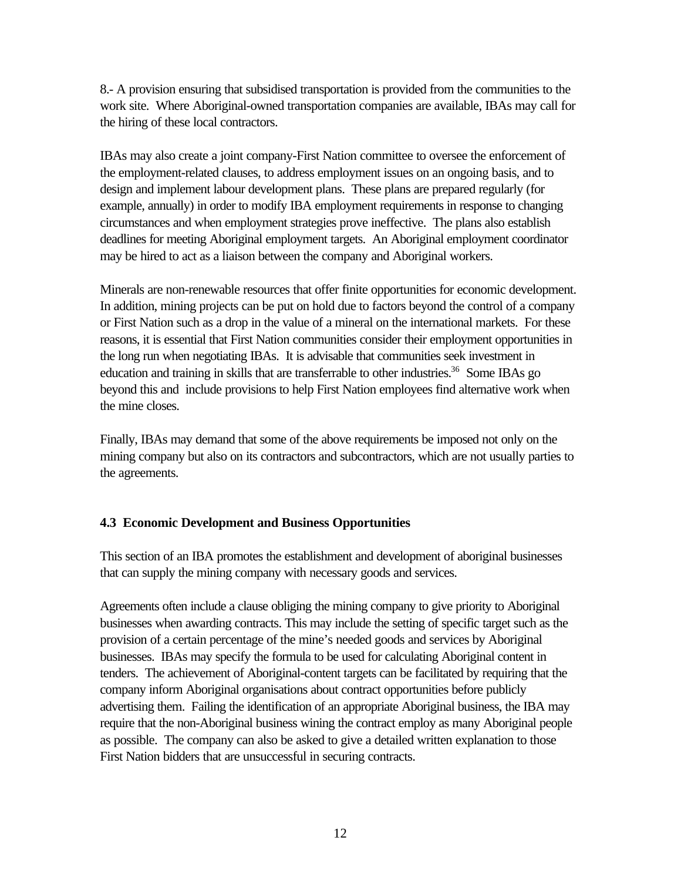8.- A provision ensuring that subsidised transportation is provided from the communities to the work site. Where Aboriginal-owned transportation companies are available, IBAs may call for the hiring of these local contractors.

IBAs may also create a joint company-First Nation committee to oversee the enforcement of the employment-related clauses, to address employment issues on an ongoing basis, and to design and implement labour development plans. These plans are prepared regularly (for example, annually) in order to modify IBA employment requirements in response to changing circumstances and when employment strategies prove ineffective. The plans also establish deadlines for meeting Aboriginal employment targets. An Aboriginal employment coordinator may be hired to act as a liaison between the company and Aboriginal workers.

Minerals are non-renewable resources that offer finite opportunities for economic development. In addition, mining projects can be put on hold due to factors beyond the control of a company or First Nation such as a drop in the value of a mineral on the international markets. For these reasons, it is essential that First Nation communities consider their employment opportunities in the long run when negotiating IBAs. It is advisable that communities seek investment in education and training in skills that are transferrable to other industries.<sup>36</sup> Some IBAs go beyond this and include provisions to help First Nation employees find alternative work when the mine closes.

Finally, IBAs may demand that some of the above requirements be imposed not only on the mining company but also on its contractors and subcontractors, which are not usually parties to the agreements.

# **4.3 Economic Development and Business Opportunities**

This section of an IBA promotes the establishment and development of aboriginal businesses that can supply the mining company with necessary goods and services.

Agreements often include a clause obliging the mining company to give priority to Aboriginal businesses when awarding contracts. This may include the setting of specific target such as the provision of a certain percentage of the mine's needed goods and services by Aboriginal businesses. IBAs may specify the formula to be used for calculating Aboriginal content in tenders. The achievement of Aboriginal-content targets can be facilitated by requiring that the company inform Aboriginal organisations about contract opportunities before publicly advertising them. Failing the identification of an appropriate Aboriginal business, the IBA may require that the non-Aboriginal business wining the contract employ as many Aboriginal people as possible. The company can also be asked to give a detailed written explanation to those First Nation bidders that are unsuccessful in securing contracts.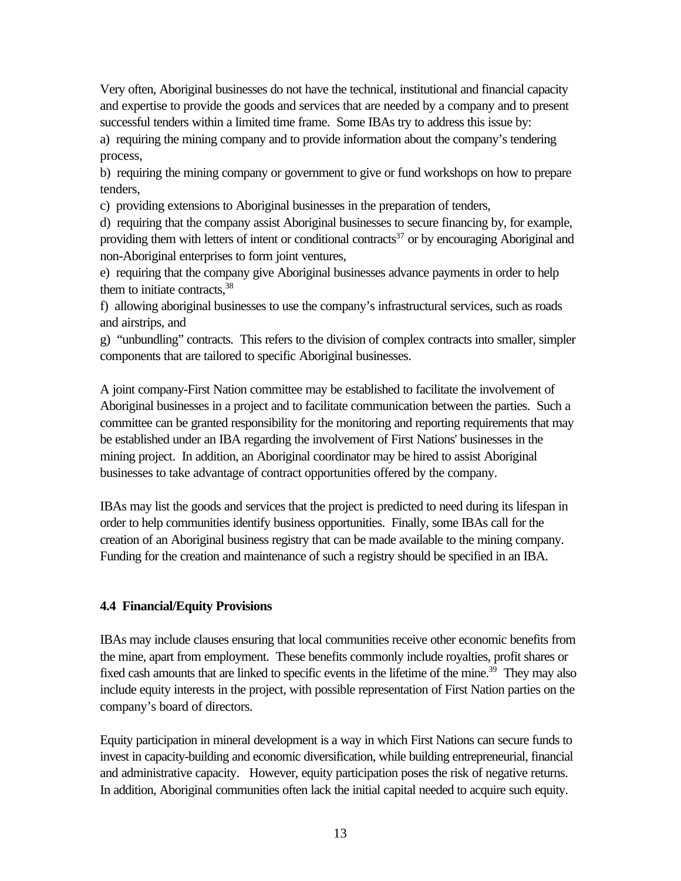Very often, Aboriginal businesses do not have the technical, institutional and financial capacity and expertise to provide the goods and services that are needed by a company and to present successful tenders within a limited time frame. Some IBAs try to address this issue by: a) requiring the mining company and to provide information about the company's tendering

process,

b) requiring the mining company or government to give or fund workshops on how to prepare tenders,

c) providing extensions to Aboriginal businesses in the preparation of tenders,

d) requiring that the company assist Aboriginal businesses to secure financing by, for example, providing them with letters of intent or conditional contracts<sup>37</sup> or by encouraging Aboriginal and non-Aboriginal enterprises to form joint ventures,

e) requiring that the company give Aboriginal businesses advance payments in order to help them to initiate contracts. $38$ 

f) allowing aboriginal businesses to use the company's infrastructural services, such as roads and airstrips, and

g) "unbundling" contracts. This refers to the division of complex contracts into smaller, simpler components that are tailored to specific Aboriginal businesses.

A joint company-First Nation committee may be established to facilitate the involvement of Aboriginal businesses in a project and to facilitate communication between the parties. Such a committee can be granted responsibility for the monitoring and reporting requirements that may be established under an IBA regarding the involvement of First Nations' businesses in the mining project. In addition, an Aboriginal coordinator may be hired to assist Aboriginal businesses to take advantage of contract opportunities offered by the company.

IBAs may list the goods and services that the project is predicted to need during its lifespan in order to help communities identify business opportunities. Finally, some IBAs call for the creation of an Aboriginal business registry that can be made available to the mining company. Funding for the creation and maintenance of such a registry should be specified in an IBA.

### **4.4 Financial/Equity Provisions**

IBAs may include clauses ensuring that local communities receive other economic benefits from the mine, apart from employment. These benefits commonly include royalties, profit shares or fixed cash amounts that are linked to specific events in the lifetime of the mine.<sup>39</sup> They may also include equity interests in the project, with possible representation of First Nation parties on the company's board of directors.

Equity participation in mineral development is a way in which First Nations can secure funds to invest in capacity-building and economic diversification, while building entrepreneurial, financial and administrative capacity. However, equity participation poses the risk of negative returns. In addition, Aboriginal communities often lack the initial capital needed to acquire such equity.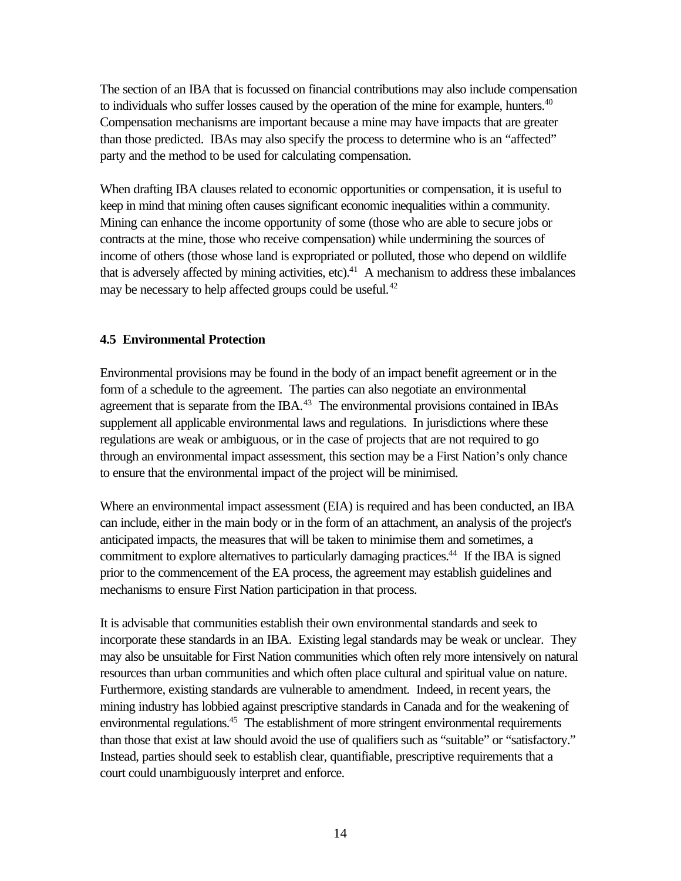The section of an IBA that is focussed on financial contributions may also include compensation to individuals who suffer losses caused by the operation of the mine for example, hunters. $40$ Compensation mechanisms are important because a mine may have impacts that are greater than those predicted. IBAs may also specify the process to determine who is an "affected" party and the method to be used for calculating compensation.

When drafting IBA clauses related to economic opportunities or compensation, it is useful to keep in mind that mining often causes significant economic inequalities within a community. Mining can enhance the income opportunity of some (those who are able to secure jobs or contracts at the mine, those who receive compensation) while undermining the sources of income of others (those whose land is expropriated or polluted, those who depend on wildlife that is adversely affected by mining activities, etc).<sup>41</sup> A mechanism to address these imbalances may be necessary to help affected groups could be useful.<sup>42</sup>

# **4.5 Environmental Protection**

Environmental provisions may be found in the body of an impact benefit agreement or in the form of a schedule to the agreement. The parties can also negotiate an environmental agreement that is separate from the IBA. $43$  The environmental provisions contained in IBAs supplement all applicable environmental laws and regulations. In jurisdictions where these regulations are weak or ambiguous, or in the case of projects that are not required to go through an environmental impact assessment, this section may be a First Nation's only chance to ensure that the environmental impact of the project will be minimised.

Where an environmental impact assessment (EIA) is required and has been conducted, an IBA can include, either in the main body or in the form of an attachment, an analysis of the project's anticipated impacts, the measures that will be taken to minimise them and sometimes, a commitment to explore alternatives to particularly damaging practices.<sup>44</sup> If the IBA is signed prior to the commencement of the EA process, the agreement may establish guidelines and mechanisms to ensure First Nation participation in that process.

It is advisable that communities establish their own environmental standards and seek to incorporate these standards in an IBA. Existing legal standards may be weak or unclear. They may also be unsuitable for First Nation communities which often rely more intensively on natural resources than urban communities and which often place cultural and spiritual value on nature. Furthermore, existing standards are vulnerable to amendment. Indeed, in recent years, the mining industry has lobbied against prescriptive standards in Canada and for the weakening of environmental regulations.<sup>45</sup> The establishment of more stringent environmental requirements than those that exist at law should avoid the use of qualifiers such as "suitable" or "satisfactory." Instead, parties should seek to establish clear, quantifiable, prescriptive requirements that a court could unambiguously interpret and enforce.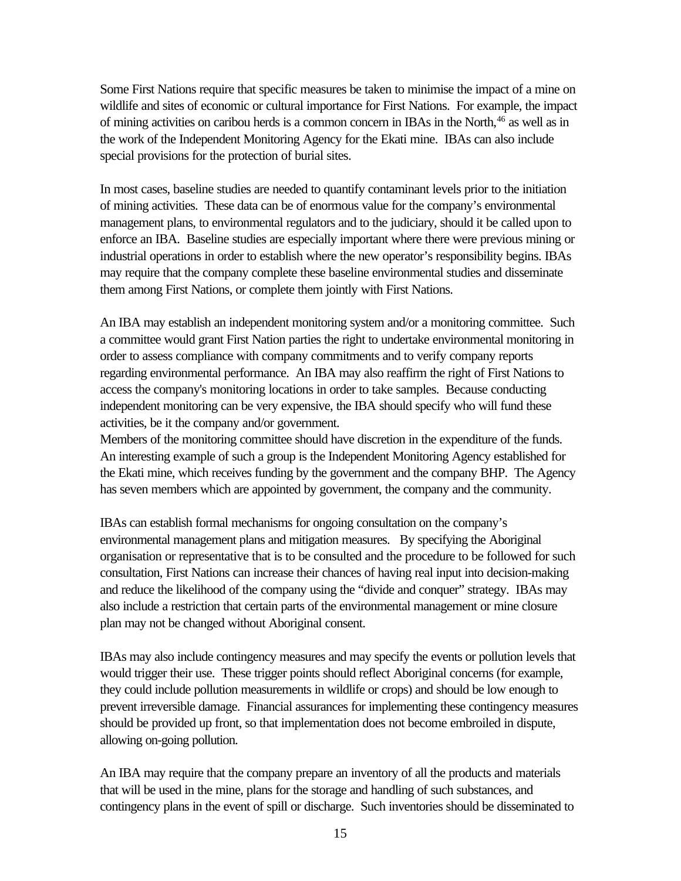Some First Nations require that specific measures be taken to minimise the impact of a mine on wildlife and sites of economic or cultural importance for First Nations. For example, the impact of mining activities on caribou herds is a common concern in IBAs in the North,<sup>46</sup> as well as in the work of the Independent Monitoring Agency for the Ekati mine. IBAs can also include special provisions for the protection of burial sites.

In most cases, baseline studies are needed to quantify contaminant levels prior to the initiation of mining activities. These data can be of enormous value for the company's environmental management plans, to environmental regulators and to the judiciary, should it be called upon to enforce an IBA. Baseline studies are especially important where there were previous mining or industrial operations in order to establish where the new operator's responsibility begins. IBAs may require that the company complete these baseline environmental studies and disseminate them among First Nations, or complete them jointly with First Nations.

An IBA may establish an independent monitoring system and/or a monitoring committee. Such a committee would grant First Nation parties the right to undertake environmental monitoring in order to assess compliance with company commitments and to verify company reports regarding environmental performance. An IBA may also reaffirm the right of First Nations to access the company's monitoring locations in order to take samples. Because conducting independent monitoring can be very expensive, the IBA should specify who will fund these activities, be it the company and/or government.

Members of the monitoring committee should have discretion in the expenditure of the funds. An interesting example of such a group is the Independent Monitoring Agency established for the Ekati mine, which receives funding by the government and the company BHP. The Agency has seven members which are appointed by government, the company and the community.

IBAs can establish formal mechanisms for ongoing consultation on the company's environmental management plans and mitigation measures. By specifying the Aboriginal organisation or representative that is to be consulted and the procedure to be followed for such consultation, First Nations can increase their chances of having real input into decision-making and reduce the likelihood of the company using the "divide and conquer" strategy. IBAs may also include a restriction that certain parts of the environmental management or mine closure plan may not be changed without Aboriginal consent.

IBAs may also include contingency measures and may specify the events or pollution levels that would trigger their use. These trigger points should reflect Aboriginal concerns (for example, they could include pollution measurements in wildlife or crops) and should be low enough to prevent irreversible damage. Financial assurances for implementing these contingency measures should be provided up front, so that implementation does not become embroiled in dispute, allowing on-going pollution.

An IBA may require that the company prepare an inventory of all the products and materials that will be used in the mine, plans for the storage and handling of such substances, and contingency plans in the event of spill or discharge. Such inventories should be disseminated to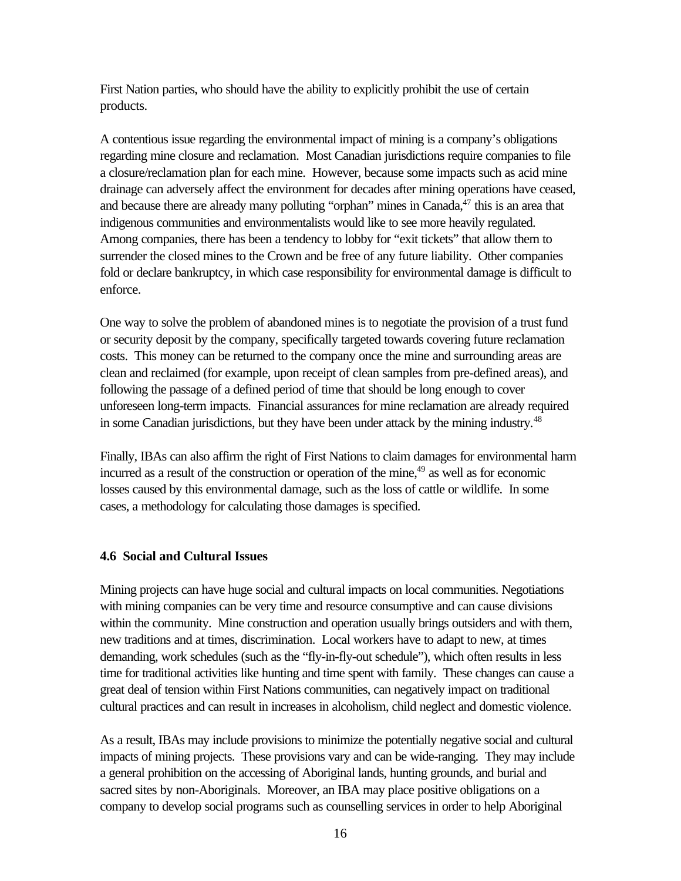First Nation parties, who should have the ability to explicitly prohibit the use of certain products.

A contentious issue regarding the environmental impact of mining is a company's obligations regarding mine closure and reclamation. Most Canadian jurisdictions require companies to file a closure/reclamation plan for each mine. However, because some impacts such as acid mine drainage can adversely affect the environment for decades after mining operations have ceased, and because there are already many polluting "orphan" mines in Canada, $47$  this is an area that indigenous communities and environmentalists would like to see more heavily regulated. Among companies, there has been a tendency to lobby for "exit tickets" that allow them to surrender the closed mines to the Crown and be free of any future liability. Other companies fold or declare bankruptcy, in which case responsibility for environmental damage is difficult to enforce.

One way to solve the problem of abandoned mines is to negotiate the provision of a trust fund or security deposit by the company, specifically targeted towards covering future reclamation costs. This money can be returned to the company once the mine and surrounding areas are clean and reclaimed (for example, upon receipt of clean samples from pre-defined areas), and following the passage of a defined period of time that should be long enough to cover unforeseen long-term impacts. Financial assurances for mine reclamation are already required in some Canadian jurisdictions, but they have been under attack by the mining industry.<sup>48</sup>

Finally, IBAs can also affirm the right of First Nations to claim damages for environmental harm incurred as a result of the construction or operation of the mine,<sup>49</sup> as well as for economic losses caused by this environmental damage, such as the loss of cattle or wildlife. In some cases, a methodology for calculating those damages is specified.

### **4.6 Social and Cultural Issues**

Mining projects can have huge social and cultural impacts on local communities. Negotiations with mining companies can be very time and resource consumptive and can cause divisions within the community. Mine construction and operation usually brings outsiders and with them, new traditions and at times, discrimination. Local workers have to adapt to new, at times demanding, work schedules (such as the "fly-in-fly-out schedule"), which often results in less time for traditional activities like hunting and time spent with family. These changes can cause a great deal of tension within First Nations communities, can negatively impact on traditional cultural practices and can result in increases in alcoholism, child neglect and domestic violence.

As a result, IBAs may include provisions to minimize the potentially negative social and cultural impacts of mining projects. These provisions vary and can be wide-ranging. They may include a general prohibition on the accessing of Aboriginal lands, hunting grounds, and burial and sacred sites by non-Aboriginals. Moreover, an IBA may place positive obligations on a company to develop social programs such as counselling services in order to help Aboriginal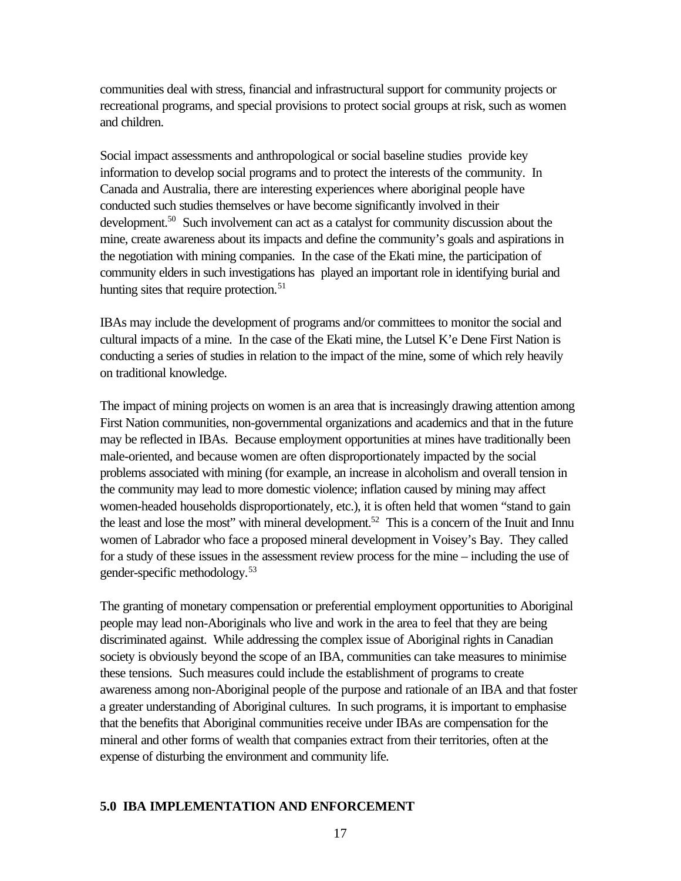communities deal with stress, financial and infrastructural support for community projects or recreational programs, and special provisions to protect social groups at risk, such as women and children.

Social impact assessments and anthropological or social baseline studies provide key information to develop social programs and to protect the interests of the community. In Canada and Australia, there are interesting experiences where aboriginal people have conducted such studies themselves or have become significantly involved in their development.<sup>50</sup> Such involvement can act as a catalyst for community discussion about the mine, create awareness about its impacts and define the community's goals and aspirations in the negotiation with mining companies. In the case of the Ekati mine, the participation of community elders in such investigations has played an important role in identifying burial and hunting sites that require protection.<sup>51</sup>

IBAs may include the development of programs and/or committees to monitor the social and cultural impacts of a mine. In the case of the Ekati mine, the Lutsel K'e Dene First Nation is conducting a series of studies in relation to the impact of the mine, some of which rely heavily on traditional knowledge.

The impact of mining projects on women is an area that is increasingly drawing attention among First Nation communities, non-governmental organizations and academics and that in the future may be reflected in IBAs. Because employment opportunities at mines have traditionally been male-oriented, and because women are often disproportionately impacted by the social problems associated with mining (for example, an increase in alcoholism and overall tension in the community may lead to more domestic violence; inflation caused by mining may affect women-headed households disproportionately, etc.), it is often held that women "stand to gain the least and lose the most" with mineral development.<sup>52</sup> This is a concern of the Inuit and Innu women of Labrador who face a proposed mineral development in Voisey's Bay. They called for a study of these issues in the assessment review process for the mine – including the use of gender-specific methodology.<sup>53</sup>

The granting of monetary compensation or preferential employment opportunities to Aboriginal people may lead non-Aboriginals who live and work in the area to feel that they are being discriminated against. While addressing the complex issue of Aboriginal rights in Canadian society is obviously beyond the scope of an IBA, communities can take measures to minimise these tensions. Such measures could include the establishment of programs to create awareness among non-Aboriginal people of the purpose and rationale of an IBA and that foster a greater understanding of Aboriginal cultures. In such programs, it is important to emphasise that the benefits that Aboriginal communities receive under IBAs are compensation for the mineral and other forms of wealth that companies extract from their territories, often at the expense of disturbing the environment and community life.

### **5.0 IBA IMPLEMENTATION AND ENFORCEMENT**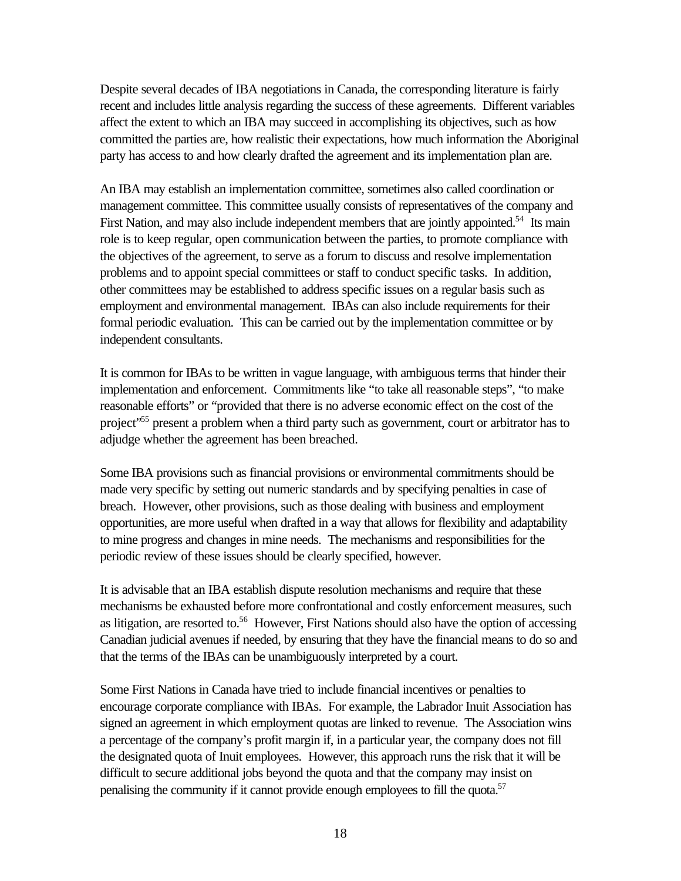Despite several decades of IBA negotiations in Canada, the corresponding literature is fairly recent and includes little analysis regarding the success of these agreements. Different variables affect the extent to which an IBA may succeed in accomplishing its objectives, such as how committed the parties are, how realistic their expectations, how much information the Aboriginal party has access to and how clearly drafted the agreement and its implementation plan are.

An IBA may establish an implementation committee, sometimes also called coordination or management committee. This committee usually consists of representatives of the company and First Nation, and may also include independent members that are jointly appointed.<sup>54</sup> Its main role is to keep regular, open communication between the parties, to promote compliance with the objectives of the agreement, to serve as a forum to discuss and resolve implementation problems and to appoint special committees or staff to conduct specific tasks. In addition, other committees may be established to address specific issues on a regular basis such as employment and environmental management. IBAs can also include requirements for their formal periodic evaluation. This can be carried out by the implementation committee or by independent consultants.

It is common for IBAs to be written in vague language, with ambiguous terms that hinder their implementation and enforcement. Commitments like "to take all reasonable steps", "to make reasonable efforts" or "provided that there is no adverse economic effect on the cost of the project<sup>355</sup> present a problem when a third party such as government, court or arbitrator has to adjudge whether the agreement has been breached.

Some IBA provisions such as financial provisions or environmental commitments should be made very specific by setting out numeric standards and by specifying penalties in case of breach. However, other provisions, such as those dealing with business and employment opportunities, are more useful when drafted in a way that allows for flexibility and adaptability to mine progress and changes in mine needs. The mechanisms and responsibilities for the periodic review of these issues should be clearly specified, however.

It is advisable that an IBA establish dispute resolution mechanisms and require that these mechanisms be exhausted before more confrontational and costly enforcement measures, such as litigation, are resorted to.<sup>56</sup> However, First Nations should also have the option of accessing Canadian judicial avenues if needed, by ensuring that they have the financial means to do so and that the terms of the IBAs can be unambiguously interpreted by a court.

Some First Nations in Canada have tried to include financial incentives or penalties to encourage corporate compliance with IBAs. For example, the Labrador Inuit Association has signed an agreement in which employment quotas are linked to revenue. The Association wins a percentage of the company's profit margin if, in a particular year, the company does not fill the designated quota of Inuit employees. However, this approach runs the risk that it will be difficult to secure additional jobs beyond the quota and that the company may insist on penalising the community if it cannot provide enough employees to fill the quota.<sup>57</sup>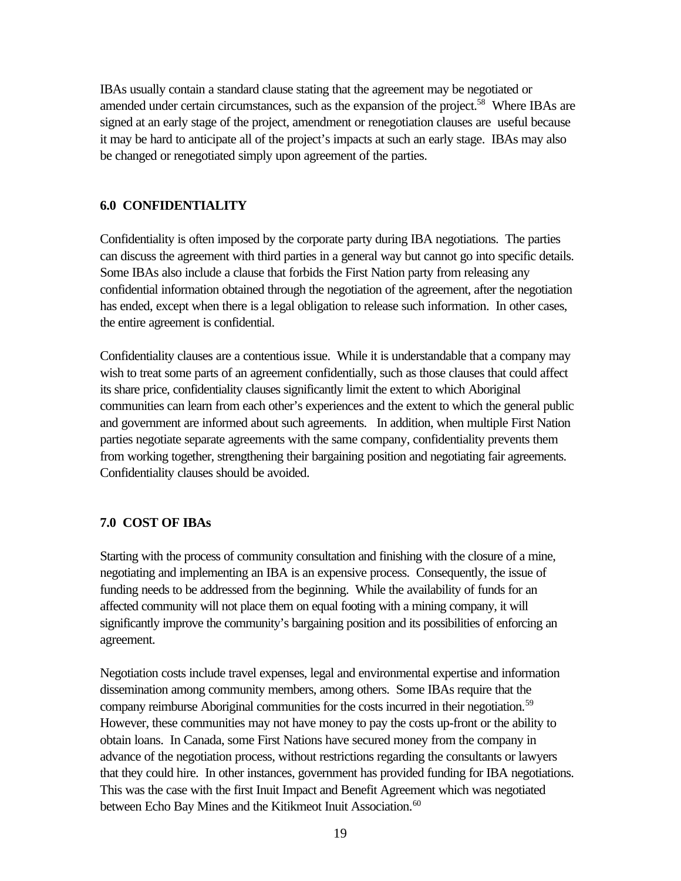IBAs usually contain a standard clause stating that the agreement may be negotiated or amended under certain circumstances, such as the expansion of the project.<sup>58</sup> Where IBAs are signed at an early stage of the project, amendment or renegotiation clauses are useful because it may be hard to anticipate all of the project's impacts at such an early stage. IBAs may also be changed or renegotiated simply upon agreement of the parties.

### **6.0 CONFIDENTIALITY**

Confidentiality is often imposed by the corporate party during IBA negotiations. The parties can discuss the agreement with third parties in a general way but cannot go into specific details. Some IBAs also include a clause that forbids the First Nation party from releasing any confidential information obtained through the negotiation of the agreement, after the negotiation has ended, except when there is a legal obligation to release such information. In other cases, the entire agreement is confidential.

Confidentiality clauses are a contentious issue. While it is understandable that a company may wish to treat some parts of an agreement confidentially, such as those clauses that could affect its share price, confidentiality clauses significantly limit the extent to which Aboriginal communities can learn from each other's experiences and the extent to which the general public and government are informed about such agreements. In addition, when multiple First Nation parties negotiate separate agreements with the same company, confidentiality prevents them from working together, strengthening their bargaining position and negotiating fair agreements. Confidentiality clauses should be avoided.

### **7.0 COST OF IBAs**

Starting with the process of community consultation and finishing with the closure of a mine, negotiating and implementing an IBA is an expensive process. Consequently, the issue of funding needs to be addressed from the beginning. While the availability of funds for an affected community will not place them on equal footing with a mining company, it will significantly improve the community's bargaining position and its possibilities of enforcing an agreement.

Negotiation costs include travel expenses, legal and environmental expertise and information dissemination among community members, among others. Some IBAs require that the company reimburse Aboriginal communities for the costs incurred in their negotiation.<sup>59</sup> However, these communities may not have money to pay the costs up-front or the ability to obtain loans. In Canada, some First Nations have secured money from the company in advance of the negotiation process, without restrictions regarding the consultants or lawyers that they could hire. In other instances, government has provided funding for IBA negotiations. This was the case with the first Inuit Impact and Benefit Agreement which was negotiated between Echo Bay Mines and the Kitikmeot Inuit Association.<sup>60</sup>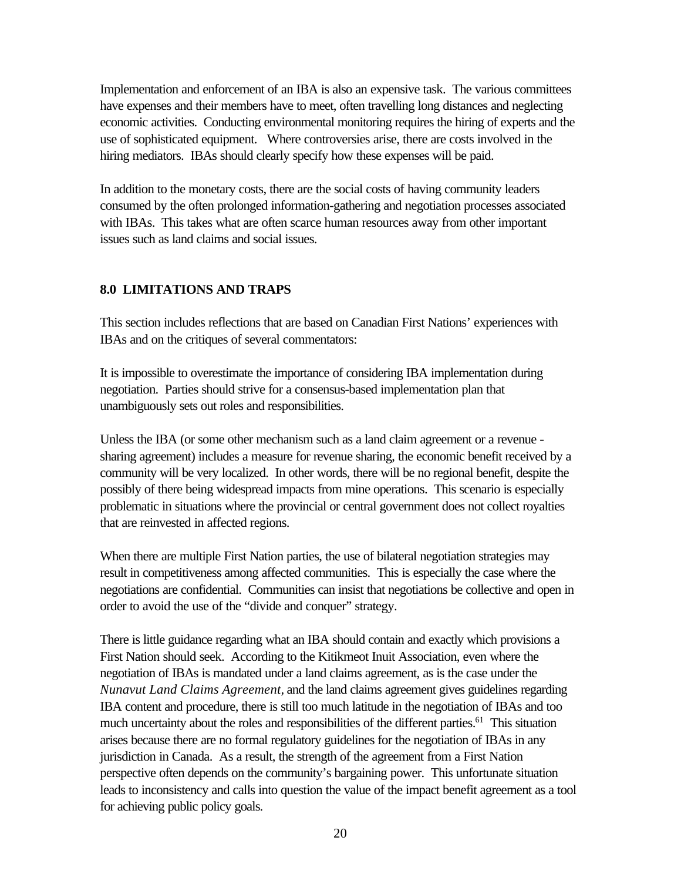Implementation and enforcement of an IBA is also an expensive task. The various committees have expenses and their members have to meet, often travelling long distances and neglecting economic activities. Conducting environmental monitoring requires the hiring of experts and the use of sophisticated equipment. Where controversies arise, there are costs involved in the hiring mediators. IBAs should clearly specify how these expenses will be paid.

In addition to the monetary costs, there are the social costs of having community leaders consumed by the often prolonged information-gathering and negotiation processes associated with IBAs. This takes what are often scarce human resources away from other important issues such as land claims and social issues.

# **8.0 LIMITATIONS AND TRAPS**

This section includes reflections that are based on Canadian First Nations' experiences with IBAs and on the critiques of several commentators:

It is impossible to overestimate the importance of considering IBA implementation during negotiation. Parties should strive for a consensus-based implementation plan that unambiguously sets out roles and responsibilities.

Unless the IBA (or some other mechanism such as a land claim agreement or a revenue sharing agreement) includes a measure for revenue sharing, the economic benefit received by a community will be very localized. In other words, there will be no regional benefit, despite the possibly of there being widespread impacts from mine operations. This scenario is especially problematic in situations where the provincial or central government does not collect royalties that are reinvested in affected regions.

When there are multiple First Nation parties, the use of bilateral negotiation strategies may result in competitiveness among affected communities. This is especially the case where the negotiations are confidential. Communities can insist that negotiations be collective and open in order to avoid the use of the "divide and conquer" strategy.

There is little guidance regarding what an IBA should contain and exactly which provisions a First Nation should seek. According to the Kitikmeot Inuit Association, even where the negotiation of IBAs is mandated under a land claims agreement, as is the case under the *Nunavut Land Claims Agreement,* and the land claims agreement gives guidelines regarding IBA content and procedure, there is still too much latitude in the negotiation of IBAs and too much uncertainty about the roles and responsibilities of the different parties.<sup>61</sup> This situation arises because there are no formal regulatory guidelines for the negotiation of IBAs in any jurisdiction in Canada. As a result, the strength of the agreement from a First Nation perspective often depends on the community's bargaining power. This unfortunate situation leads to inconsistency and calls into question the value of the impact benefit agreement as a tool for achieving public policy goals.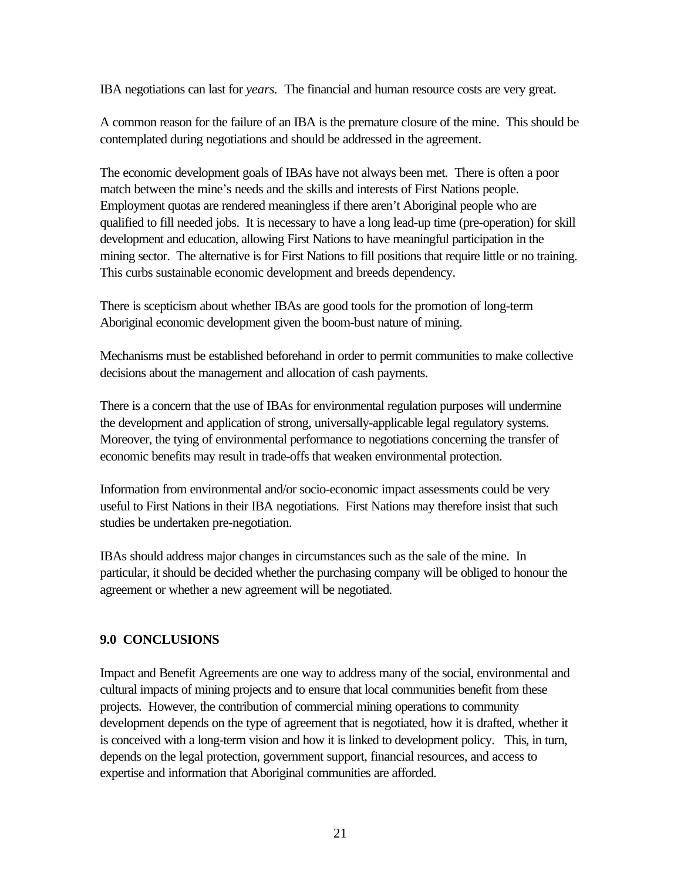IBA negotiations can last for *years.* The financial and human resource costs are very great.

A common reason for the failure of an IBA is the premature closure of the mine. This should be contemplated during negotiations and should be addressed in the agreement.

The economic development goals of IBAs have not always been met. There is often a poor match between the mine's needs and the skills and interests of First Nations people. Employment quotas are rendered meaningless if there aren't Aboriginal people who are qualified to fill needed jobs. It is necessary to have a long lead-up time (pre-operation) for skill development and education, allowing First Nations to have meaningful participation in the mining sector. The alternative is for First Nations to fill positions that require little or no training. This curbs sustainable economic development and breeds dependency.

There is scepticism about whether IBAs are good tools for the promotion of long-term Aboriginal economic development given the boom-bust nature of mining.

Mechanisms must be established beforehand in order to permit communities to make collective decisions about the management and allocation of cash payments.

There is a concern that the use of IBAs for environmental regulation purposes will undermine the development and application of strong, universally-applicable legal regulatory systems. Moreover, the tying of environmental performance to negotiations concerning the transfer of economic benefits may result in trade-offs that weaken environmental protection.

Information from environmental and/or socio-economic impact assessments could be very useful to First Nations in their IBA negotiations. First Nations may therefore insist that such studies be undertaken pre-negotiation.

IBAs should address major changes in circumstances such as the sale of the mine. In particular, it should be decided whether the purchasing company will be obliged to honour the agreement or whether a new agreement will be negotiated.

# **9.0 CONCLUSIONS**

Impact and Benefit Agreements are one way to address many of the social, environmental and cultural impacts of mining projects and to ensure that local communities benefit from these projects. However, the contribution of commercial mining operations to community development depends on the type of agreement that is negotiated, how it is drafted, whether it is conceived with a long-term vision and how it is linked to development policy. This, in turn, depends on the legal protection, government support, financial resources, and access to expertise and information that Aboriginal communities are afforded.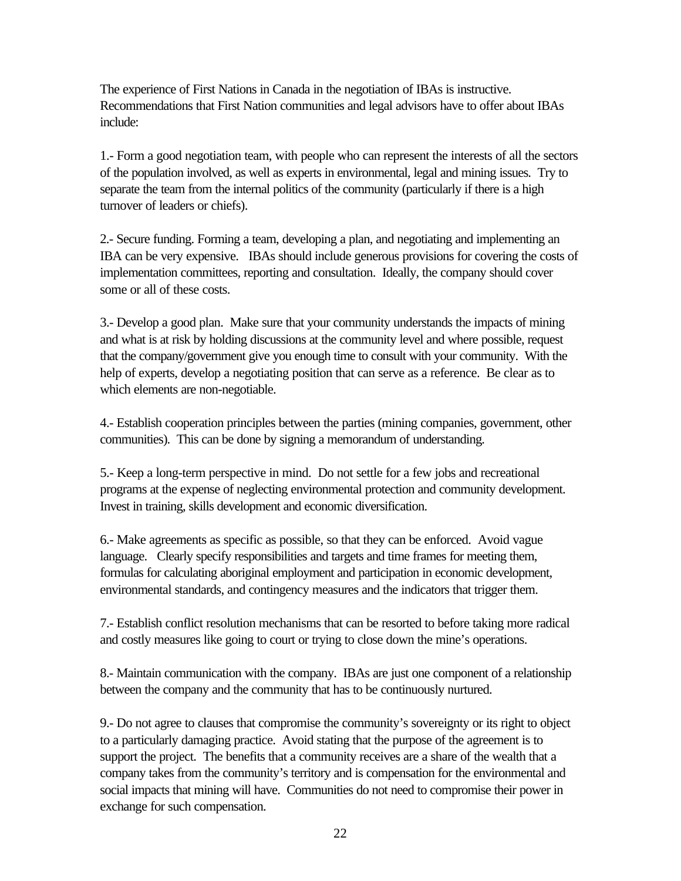The experience of First Nations in Canada in the negotiation of IBAs is instructive. Recommendations that First Nation communities and legal advisors have to offer about IBAs include:

1.- Form a good negotiation team, with people who can represent the interests of all the sectors of the population involved, as well as experts in environmental, legal and mining issues. Try to separate the team from the internal politics of the community (particularly if there is a high turnover of leaders or chiefs).

2.- Secure funding. Forming a team, developing a plan, and negotiating and implementing an IBA can be very expensive. IBAs should include generous provisions for covering the costs of implementation committees, reporting and consultation. Ideally, the company should cover some or all of these costs.

3.- Develop a good plan. Make sure that your community understands the impacts of mining and what is at risk by holding discussions at the community level and where possible, request that the company/government give you enough time to consult with your community. With the help of experts, develop a negotiating position that can serve as a reference. Be clear as to which elements are non-negotiable.

4.- Establish cooperation principles between the parties (mining companies, government, other communities). This can be done by signing a memorandum of understanding.

5.- Keep a long-term perspective in mind. Do not settle for a few jobs and recreational programs at the expense of neglecting environmental protection and community development. Invest in training, skills development and economic diversification.

6.- Make agreements as specific as possible, so that they can be enforced. Avoid vague language. Clearly specify responsibilities and targets and time frames for meeting them, formulas for calculating aboriginal employment and participation in economic development, environmental standards, and contingency measures and the indicators that trigger them.

7.- Establish conflict resolution mechanisms that can be resorted to before taking more radical and costly measures like going to court or trying to close down the mine's operations.

8.- Maintain communication with the company. IBAs are just one component of a relationship between the company and the community that has to be continuously nurtured.

9.- Do not agree to clauses that compromise the community's sovereignty or its right to object to a particularly damaging practice. Avoid stating that the purpose of the agreement is to support the project. The benefits that a community receives are a share of the wealth that a company takes from the community's territory and is compensation for the environmental and social impacts that mining will have. Communities do not need to compromise their power in exchange for such compensation.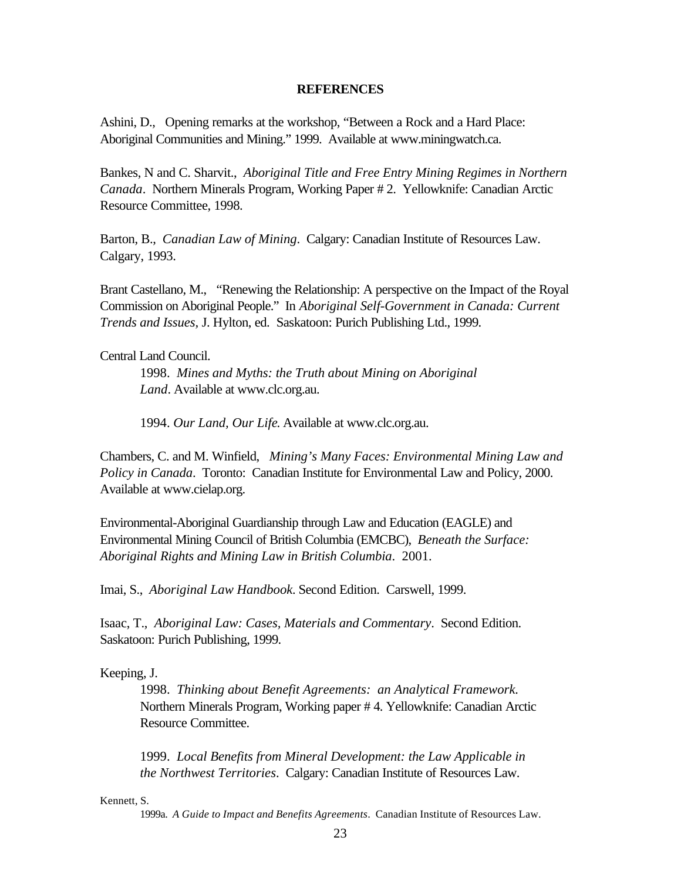#### **REFERENCES**

Ashini, D., Opening remarks at the workshop, "Between a Rock and a Hard Place: Aboriginal Communities and Mining." 1999. Available at www.miningwatch.ca.

Bankes, N and C. Sharvit., *Aboriginal Title and Free Entry Mining Regimes in Northern Canada*. Northern Minerals Program, Working Paper # 2. Yellowknife: Canadian Arctic Resource Committee, 1998.

Barton, B., *Canadian Law of Mining*. Calgary: Canadian Institute of Resources Law. Calgary, 1993.

Brant Castellano, M., "Renewing the Relationship: A perspective on the Impact of the Royal Commission on Aboriginal People." In *Aboriginal Self-Government in Canada: Current Trends and Issues,* J. Hylton, ed. Saskatoon: Purich Publishing Ltd., 1999.

Central Land Council.

1998. *Mines and Myths: the Truth about Mining on Aboriginal Land*. Available at www.clc.org.au.

1994. *Our Land, Our Life*. Available at www.clc.org.au.

Chambers, C. and M. Winfield, *Mining's Many Faces: Environmental Mining Law and Policy in Canada*. Toronto: Canadian Institute for Environmental Law and Policy, 2000. Available at www.cielap.org.

Environmental-Aboriginal Guardianship through Law and Education (EAGLE) and Environmental Mining Council of British Columbia (EMCBC), *Beneath the Surface: Aboriginal Rights and Mining Law in British Columbia*. 2001.

Imai, S., *Aboriginal Law Handbook.* Second Edition. Carswell, 1999.

Isaac, T., *Aboriginal Law: Cases, Materials and Commentary*. Second Edition. Saskatoon: Purich Publishing, 1999.

Keeping, J.

1998. *Thinking about Benefit Agreements: an Analytical Framework.* Northern Minerals Program, Working paper # 4. Yellowknife: Canadian Arctic Resource Committee.

1999. *Local Benefits from Mineral Development: the Law Applicable in the Northwest Territories*. Calgary: Canadian Institute of Resources Law.

Kennett, S.

1999a. *A Guide to Impact and Benefits Agreements*. Canadian Institute of Resources Law.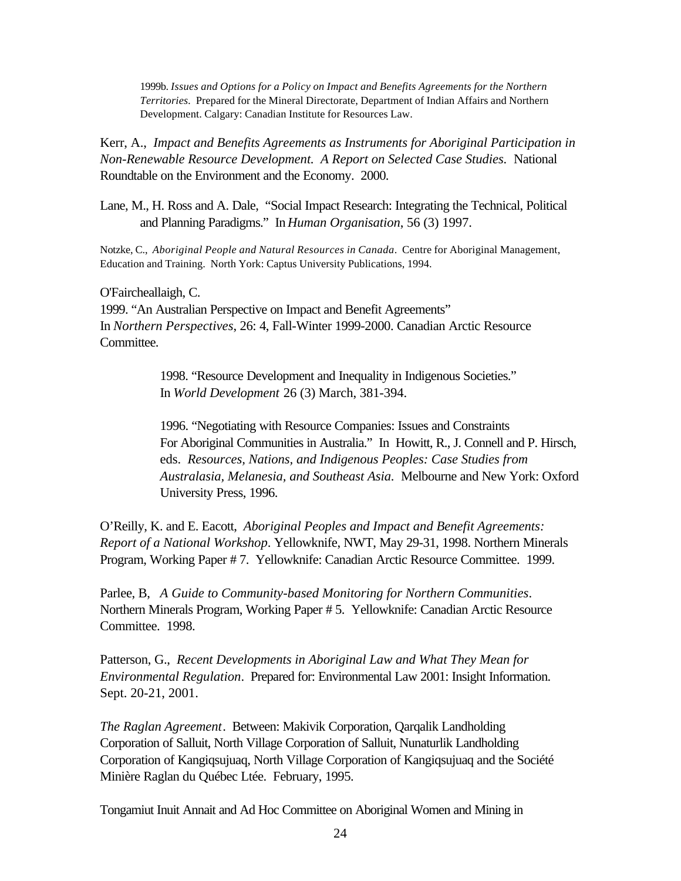1999b. *Issues and Options for a Policy on Impact and Benefits Agreements for the Northern Territories.* Prepared for the Mineral Directorate, Department of Indian Affairs and Northern Development. Calgary: Canadian Institute for Resources Law.

Kerr, A., *Impact and Benefits Agreements as Instruments for Aboriginal Participation in Non-Renewable Resource Development. A Report on Selected Case Studies.* National Roundtable on the Environment and the Economy. 2000.

Lane, M., H. Ross and A. Dale, "Social Impact Research: Integrating the Technical, Political and Planning Paradigms." In *Human Organisation*, 56 (3) 1997.

Notzke, C., *Aboriginal People and Natural Resources in Canada*. Centre for Aboriginal Management, Education and Training. North York: Captus University Publications, 1994.

O'Faircheallaigh, C.

1999. "An Australian Perspective on Impact and Benefit Agreements" In *Northern Perspectives*, 26: 4, Fall-Winter 1999-2000. Canadian Arctic Resource Committee.

> 1998. "Resource Development and Inequality in Indigenous Societies." In *World Development* 26 (3) March, 381-394.

1996. "Negotiating with Resource Companies: Issues and Constraints For Aboriginal Communities in Australia." In Howitt, R., J. Connell and P. Hirsch, eds. *Resources, Nations, and Indigenous Peoples: Case Studies from Australasia, Melanesia, and Southeast Asia.* Melbourne and New York: Oxford University Press, 1996.

 O'Reilly, K. and E. Eacott, *Aboriginal Peoples and Impact and Benefit Agreements: Report of a National Workshop*. Yellowknife, NWT, May 29-31, 1998. Northern Minerals Program, Working Paper # 7. Yellowknife: Canadian Arctic Resource Committee. 1999.

Parlee, B, *A Guide to Community-based Monitoring for Northern Communities*. Northern Minerals Program, Working Paper # 5. Yellowknife: Canadian Arctic Resource Committee. 1998.

Patterson, G., *Recent Developments in Aboriginal Law and What They Mean for Environmental Regulation*. Prepared for: Environmental Law 2001: Insight Information. Sept. 20-21, 2001.

*The Raglan Agreement*. Between: Makivik Corporation, Qarqalik Landholding Corporation of Salluit, North Village Corporation of Salluit, Nunaturlik Landholding Corporation of Kangiqsujuaq, North Village Corporation of Kangiqsujuaq and the Société Minière Raglan du Québec Ltée. February, 1995.

Tongamiut Inuit Annait and Ad Hoc Committee on Aboriginal Women and Mining in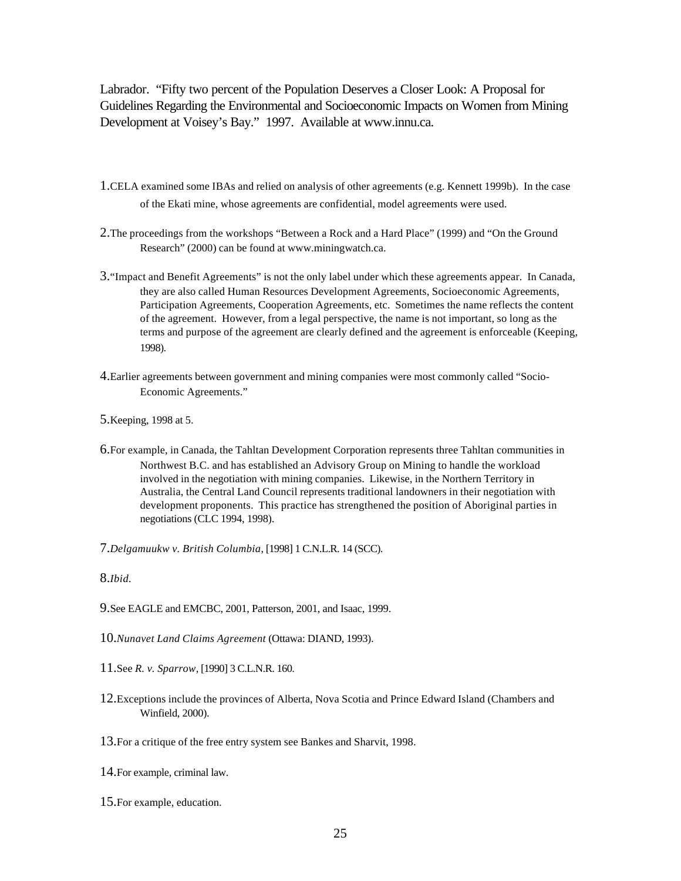Labrador. "Fifty two percent of the Population Deserves a Closer Look: A Proposal for Guidelines Regarding the Environmental and Socioeconomic Impacts on Women from Mining Development at Voisey's Bay." 1997. Available at www.innu.ca.

- 1.CELA examined some IBAs and relied on analysis of other agreements (e.g. Kennett 1999b). In the case of the Ekati mine, whose agreements are confidential, model agreements were used.
- 2.The proceedings from the workshops "Between a Rock and a Hard Place" (1999) and "On the Ground Research" (2000) can be found at www.miningwatch.ca.
- 3."Impact and Benefit Agreements" is not the only label under which these agreements appear. In Canada, they are also called Human Resources Development Agreements, Socioeconomic Agreements, Participation Agreements, Cooperation Agreements, etc. Sometimes the name reflects the content of the agreement. However, from a legal perspective, the name is not important, so long as the terms and purpose of the agreement are clearly defined and the agreement is enforceable (Keeping, 1998).
- 4.Earlier agreements between government and mining companies were most commonly called "Socio-Economic Agreements."
- 5.Keeping, 1998 at 5.
- 6.For example, in Canada, the Tahltan Development Corporation represents three Tahltan communities in Northwest B.C. and has established an Advisory Group on Mining to handle the workload involved in the negotiation with mining companies. Likewise, in the Northern Territory in Australia, the Central Land Council represents traditional landowners in their negotiation with development proponents. This practice has strengthened the position of Aboriginal parties in negotiations (CLC 1994, 1998).
- 7.*Delgamuukw v. British Columbia*, [1998] 1 C.N.L.R. 14 (SCC).

8.*Ibid.*

- 9.See EAGLE and EMCBC, 2001, Patterson, 2001, and Isaac, 1999.
- 10.*Nunavet Land Claims Agreement* (Ottawa: DIAND, 1993).
- 11.See *R. v. Sparrow*, [1990] 3 C.L.N.R. 160.
- 12.Exceptions include the provinces of Alberta, Nova Scotia and Prince Edward Island (Chambers and Winfield, 2000).
- 13.For a critique of the free entry system see Bankes and Sharvit, 1998.
- 14.For example, criminal law.
- 15.For example, education.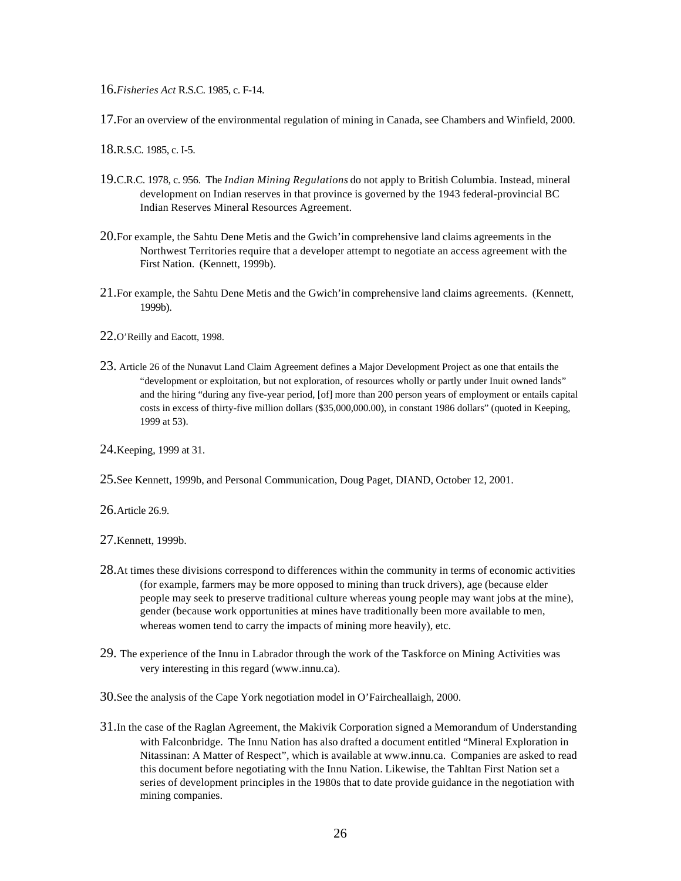16.*Fisheries Act* R.S.C. 1985, c. F-14.

17.For an overview of the environmental regulation of mining in Canada, see Chambers and Winfield, 2000.

18.R.S.C. 1985, c. I-5.

- 19.C.R.C. 1978, c. 956. The *Indian Mining Regulations* do not apply to British Columbia. Instead, mineral development on Indian reserves in that province is governed by the 1943 federal-provincial BC Indian Reserves Mineral Resources Agreement.
- 20.For example, the Sahtu Dene Metis and the Gwich'in comprehensive land claims agreements in the Northwest Territories require that a developer attempt to negotiate an access agreement with the First Nation. (Kennett, 1999b).
- 21.For example, the Sahtu Dene Metis and the Gwich'in comprehensive land claims agreements. (Kennett, 1999b).
- 22.O'Reilly and Eacott, 1998.
- 23. Article 26 of the Nunavut Land Claim Agreement defines a Major Development Project as one that entails the "development or exploitation, but not exploration, of resources wholly or partly under Inuit owned lands" and the hiring "during any five-year period, [of] more than 200 person years of employment or entails capital costs in excess of thirty-five million dollars (\$35,000,000.00), in constant 1986 dollars" (quoted in Keeping, 1999 at 53).

24.Keeping, 1999 at 31.

25.See Kennett, 1999b, and Personal Communication, Doug Paget, DIAND, October 12, 2001.

26.Article 26.9.

27.Kennett, 1999b.

- 28.At times these divisions correspond to differences within the community in terms of economic activities (for example, farmers may be more opposed to mining than truck drivers), age (because elder people may seek to preserve traditional culture whereas young people may want jobs at the mine), gender (because work opportunities at mines have traditionally been more available to men, whereas women tend to carry the impacts of mining more heavily), etc.
- 29. The experience of the Innu in Labrador through the work of the Taskforce on Mining Activities was very interesting in this regard (www.innu.ca).

30.See the analysis of the Cape York negotiation model in O'Faircheallaigh, 2000.

31.In the case of the Raglan Agreement, the Makivik Corporation signed a Memorandum of Understanding with Falconbridge. The Innu Nation has also drafted a document entitled "Mineral Exploration in Nitassinan: A Matter of Respect", which is available at www.innu.ca. Companies are asked to read this document before negotiating with the Innu Nation. Likewise, the Tahltan First Nation set a series of development principles in the 1980s that to date provide guidance in the negotiation with mining companies.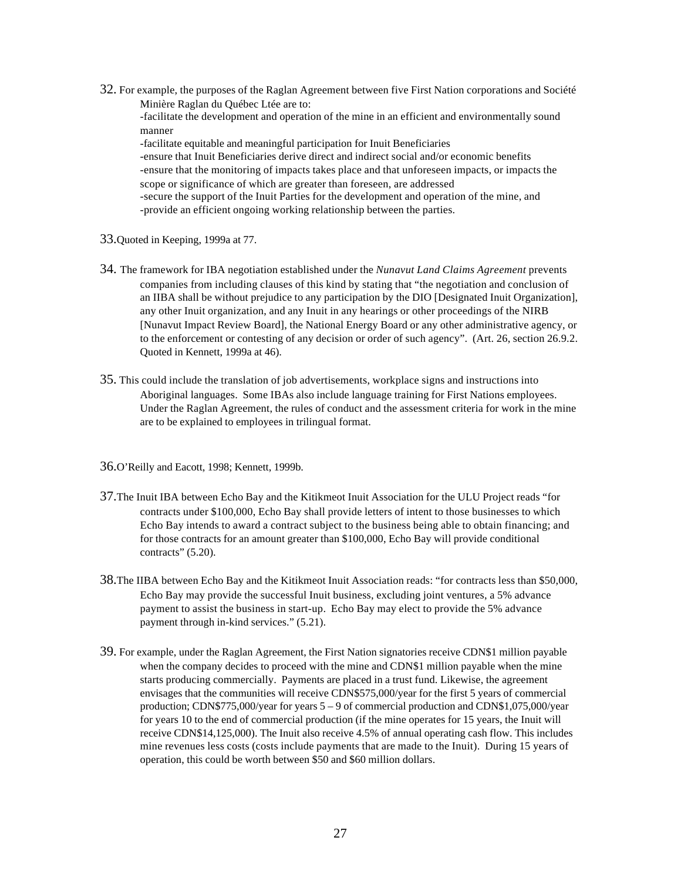32. For example, the purposes of the Raglan Agreement between five First Nation corporations and Société Minière Raglan du Québec Ltée are to:

-facilitate the development and operation of the mine in an efficient and environmentally sound manner

-facilitate equitable and meaningful participation for Inuit Beneficiaries -ensure that Inuit Beneficiaries derive direct and indirect social and/or economic benefits -ensure that the monitoring of impacts takes place and that unforeseen impacts, or impacts the scope or significance of which are greater than foreseen, are addressed -secure the support of the Inuit Parties for the development and operation of the mine, and -provide an efficient ongoing working relationship between the parties.

- 33.Quoted in Keeping, 1999a at 77.
- 34. The framework for IBA negotiation established under the *Nunavut Land Claims Agreement* prevents companies from including clauses of this kind by stating that "the negotiation and conclusion of an IIBA shall be without prejudice to any participation by the DIO [Designated Inuit Organization], any other Inuit organization, and any Inuit in any hearings or other proceedings of the NIRB [Nunavut Impact Review Board], the National Energy Board or any other administrative agency, or to the enforcement or contesting of any decision or order of such agency". (Art. 26, section 26.9.2. Quoted in Kennett, 1999a at 46).
- 35. This could include the translation of job advertisements, workplace signs and instructions into Aboriginal languages. Some IBAs also include language training for First Nations employees. Under the Raglan Agreement, the rules of conduct and the assessment criteria for work in the mine are to be explained to employees in trilingual format.
- 36.O'Reilly and Eacott, 1998; Kennett, 1999b.
- 37.The Inuit IBA between Echo Bay and the Kitikmeot Inuit Association for the ULU Project reads "for contracts under \$100,000, Echo Bay shall provide letters of intent to those businesses to which Echo Bay intends to award a contract subject to the business being able to obtain financing; and for those contracts for an amount greater than \$100,000, Echo Bay will provide conditional contracts" (5.20).
- 38.The IIBA between Echo Bay and the Kitikmeot Inuit Association reads: "for contracts less than \$50,000, Echo Bay may provide the successful Inuit business, excluding joint ventures, a 5% advance payment to assist the business in start-up. Echo Bay may elect to provide the 5% advance payment through in-kind services." (5.21).
- 39. For example, under the Raglan Agreement, the First Nation signatories receive CDN\$1 million payable when the company decides to proceed with the mine and CDN\$1 million payable when the mine starts producing commercially. Payments are placed in a trust fund. Likewise, the agreement envisages that the communities will receive CDN\$575,000/year for the first 5 years of commercial production; CDN\$775,000/year for years 5 – 9 of commercial production and CDN\$1,075,000/year for years 10 to the end of commercial production (if the mine operates for 15 years, the Inuit will receive CDN\$14,125,000). The Inuit also receive 4.5% of annual operating cash flow. This includes mine revenues less costs (costs include payments that are made to the Inuit). During 15 years of operation, this could be worth between \$50 and \$60 million dollars.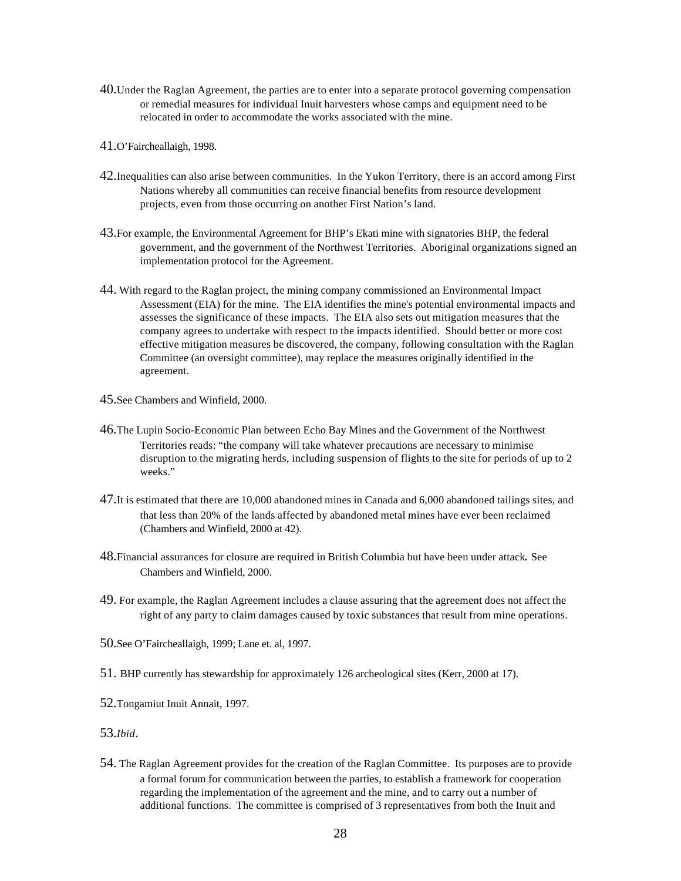- 40.Under the Raglan Agreement, the parties are to enter into a separate protocol governing compensation or remedial measures for individual Inuit harvesters whose camps and equipment need to be relocated in order to accommodate the works associated with the mine.
- 41.O'Faircheallaigh, 1998.
- 42.Inequalities can also arise between communities. In the Yukon Territory, there is an accord among First Nations whereby all communities can receive financial benefits from resource development projects, even from those occurring on another First Nation's land.
- 43.For example, the Environmental Agreement for BHP's Ekati mine with signatories BHP, the federal government, and the government of the Northwest Territories. Aboriginal organizations signed an implementation protocol for the Agreement.
- 44. With regard to the Raglan project, the mining company commissioned an Environmental Impact Assessment (EIA) for the mine. The EIA identifies the mine's potential environmental impacts and assesses the significance of these impacts. The EIA also sets out mitigation measures that the company agrees to undertake with respect to the impacts identified. Should better or more cost effective mitigation measures be discovered, the company, following consultation with the Raglan Committee (an oversight committee), may replace the measures originally identified in the agreement.
- 45.See Chambers and Winfield, 2000.
- 46.The Lupin Socio-Economic Plan between Echo Bay Mines and the Government of the Northwest Territories reads: "the company will take whatever precautions are necessary to minimise disruption to the migrating herds, including suspension of flights to the site for periods of up to 2 weeks."
- 47.It is estimated that there are 10,000 abandoned mines in Canada and 6,000 abandoned tailings sites, and that less than 20% of the lands affected by abandoned metal mines have ever been reclaimed (Chambers and Winfield, 2000 at 42).
- 48.Financial assurances for closure are required in British Columbia but have been under attack. See Chambers and Winfield, 2000.
- 49. For example, the Raglan Agreement includes a clause assuring that the agreement does not affect the right of any party to claim damages caused by toxic substances that result from mine operations.
- 50.See O'Faircheallaigh, 1999; Lane et. al, 1997.
- 51. BHP currently has stewardship for approximately 126 archeological sites (Kerr, 2000 at 17).
- 52.Tongamiut Inuit Annait, 1997.
- 53.*Ibid*.
- 54. The Raglan Agreement provides for the creation of the Raglan Committee. Its purposes are to provide a formal forum for communication between the parties, to establish a framework for cooperation regarding the implementation of the agreement and the mine, and to carry out a number of additional functions. The committee is comprised of 3 representatives from both the Inuit and